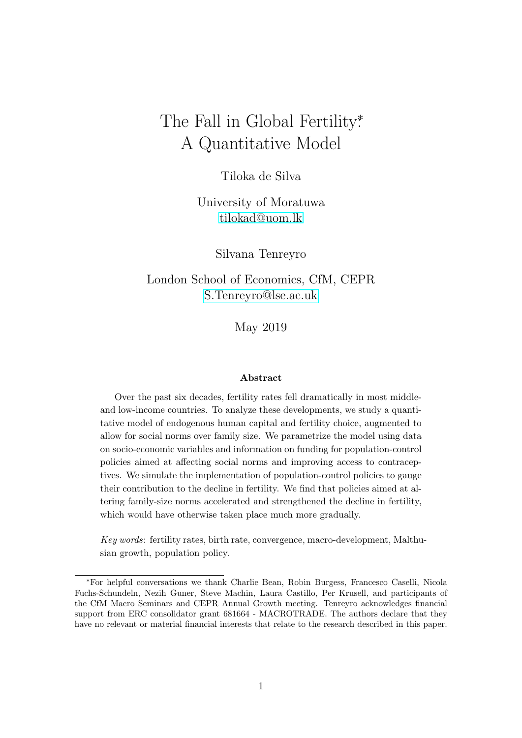# The Fall in Global Fertility<sup>\*</sup> A Quantitative Model

Tiloka de Silva

University of Moratuwa [tilokad@uom.lk](mailto:tilokad@uom.lk)

Silvana Tenreyro

London School of Economics, CfM, CEPR [S.Tenreyro@lse.ac.uk](mailto:S.Tenreyro@lse.ac.uk)

May 2019

### Abstract

Over the past six decades, fertility rates fell dramatically in most middleand low-income countries. To analyze these developments, we study a quantitative model of endogenous human capital and fertility choice, augmented to allow for social norms over family size. We parametrize the model using data on socio-economic variables and information on funding for population-control policies aimed at affecting social norms and improving access to contraceptives. We simulate the implementation of population-control policies to gauge their contribution to the decline in fertility. We find that policies aimed at altering family-size norms accelerated and strengthened the decline in fertility, which would have otherwise taken place much more gradually.

Key words: fertility rates, birth rate, convergence, macro-development, Malthusian growth, population policy.

<sup>∗</sup>For helpful conversations we thank Charlie Bean, Robin Burgess, Francesco Caselli, Nicola Fuchs-Schundeln, Nezih Guner, Steve Machin, Laura Castillo, Per Krusell, and participants of the CfM Macro Seminars and CEPR Annual Growth meeting. Tenreyro acknowledges financial support from ERC consolidator grant 681664 - MACROTRADE. The authors declare that they have no relevant or material financial interests that relate to the research described in this paper.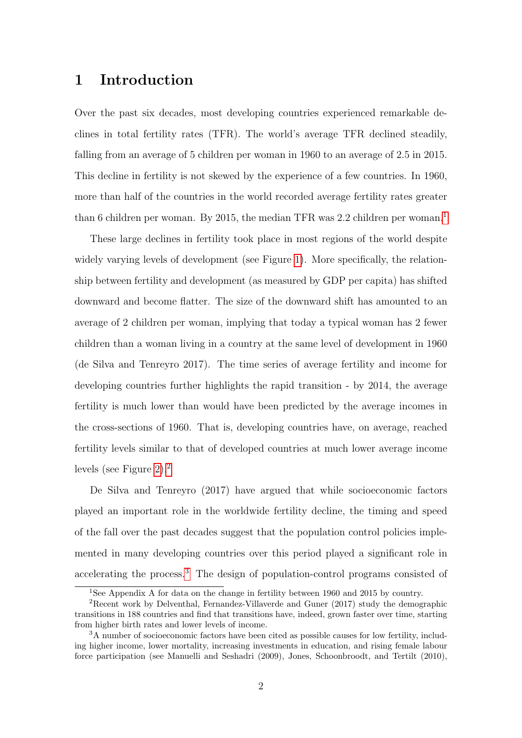# 1 Introduction

Over the past six decades, most developing countries experienced remarkable declines in total fertility rates (TFR). The world's average TFR declined steadily, falling from an average of 5 children per woman in 1960 to an average of 2.5 in 2015. This decline in fertility is not skewed by the experience of a few countries. In 1960, more than half of the countries in the world recorded average fertility rates greater than 6 children per woman. By 20[1](#page-1-0)5, the median TFR was 2.2 children per woman.<sup>1</sup>

These large declines in fertility took place in most regions of the world despite widely varying levels of development (see Figure [1\)](#page-2-0). More specifically, the relationship between fertility and development (as measured by GDP per capita) has shifted downward and become flatter. The size of the downward shift has amounted to an average of 2 children per woman, implying that today a typical woman has 2 fewer children than a woman living in a country at the same level of development in 1960 (de Silva and Tenreyro 2017). The time series of average fertility and income for developing countries further highlights the rapid transition - by 2014, the average fertility is much lower than would have been predicted by the average incomes in the cross-sections of 1960. That is, developing countries have, on average, reached fertility levels similar to that of developed countries at much lower average income levels (see Figure [2\)](#page-3-0).[2](#page-1-1)

De Silva and Tenreyro (2017) have argued that while socioeconomic factors played an important role in the worldwide fertility decline, the timing and speed of the fall over the past decades suggest that the population control policies implemented in many developing countries over this period played a significant role in accelerating the process.[3](#page-1-2) The design of population-control programs consisted of

<span id="page-1-1"></span><span id="page-1-0"></span><sup>&</sup>lt;sup>1</sup>See Appendix A for data on the change in fertility between 1960 and 2015 by country.

<sup>2</sup>Recent work by Delventhal, Fernandez-Villaverde and Guner (2017) study the demographic transitions in 188 countries and find that transitions have, indeed, grown faster over time, starting from higher birth rates and lower levels of income.

<span id="page-1-2"></span><sup>&</sup>lt;sup>3</sup>A number of socioeconomic factors have been cited as possible causes for low fertility, including higher income, lower mortality, increasing investments in education, and rising female labour force participation (see Manuelli and Seshadri (2009), Jones, Schoonbroodt, and Tertilt (2010),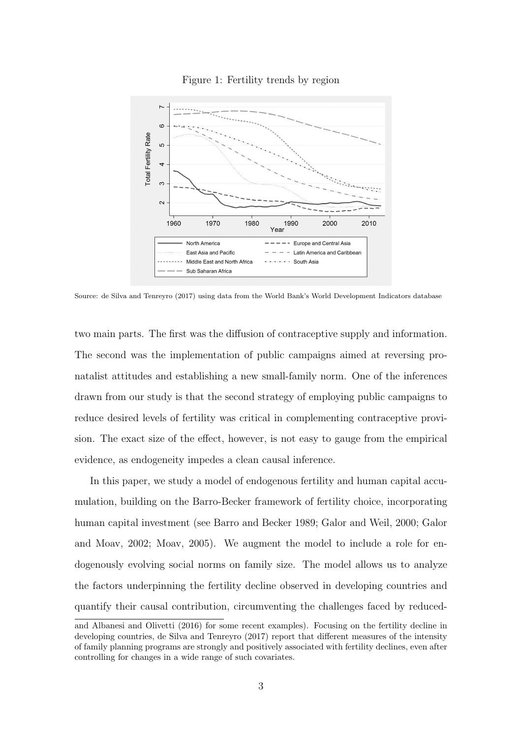<span id="page-2-0"></span>

#### Figure 1: Fertility trends by region

Source: de Silva and Tenreyro (2017) using data from the World Bank's World Development Indicators database

two main parts. The first was the diffusion of contraceptive supply and information. The second was the implementation of public campaigns aimed at reversing pronatalist attitudes and establishing a new small-family norm. One of the inferences drawn from our study is that the second strategy of employing public campaigns to reduce desired levels of fertility was critical in complementing contraceptive provision. The exact size of the effect, however, is not easy to gauge from the empirical evidence, as endogeneity impedes a clean causal inference.

In this paper, we study a model of endogenous fertility and human capital accumulation, building on the Barro-Becker framework of fertility choice, incorporating human capital investment (see Barro and Becker 1989; Galor and Weil, 2000; Galor and Moav, 2002; Moav, 2005). We augment the model to include a role for endogenously evolving social norms on family size. The model allows us to analyze the factors underpinning the fertility decline observed in developing countries and quantify their causal contribution, circumventing the challenges faced by reduced-

and Albanesi and Olivetti (2016) for some recent examples). Focusing on the fertility decline in developing countries, de Silva and Tenreyro (2017) report that different measures of the intensity of family planning programs are strongly and positively associated with fertility declines, even after controlling for changes in a wide range of such covariates.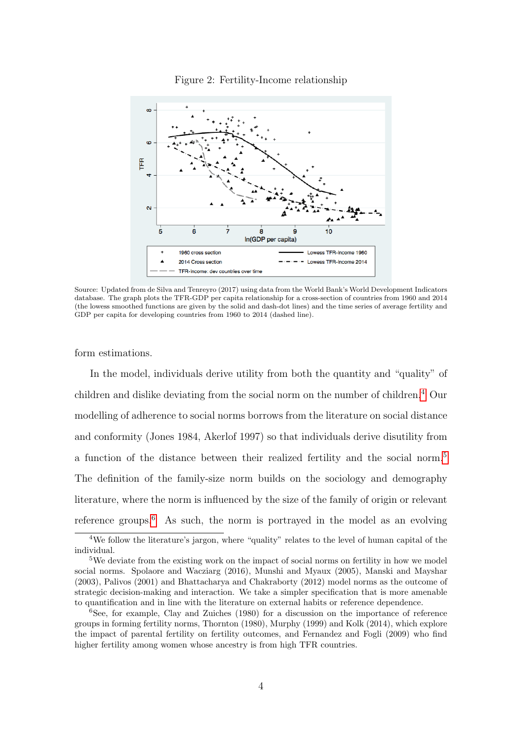<span id="page-3-0"></span>

Figure 2: Fertility-Income relationship

Source: Updated from de Silva and Tenreyro (2017) using data from the World Bank's World Development Indicators database. The graph plots the TFR-GDP per capita relationship for a cross-section of countries from 1960 and 2014 (the lowess smoothed functions are given by the solid and dash-dot lines) and the time series of average fertility and GDP per capita for developing countries from 1960 to 2014 (dashed line).

form estimations.

In the model, individuals derive utility from both the quantity and "quality" of children and dislike deviating from the social norm on the number of children.<sup>[4](#page-3-1)</sup> Our modelling of adherence to social norms borrows from the literature on social distance and conformity (Jones 1984, Akerlof 1997) so that individuals derive disutility from a function of the distance between their realized fertility and the social norm.<sup>[5](#page-3-2)</sup> The definition of the family-size norm builds on the sociology and demography literature, where the norm is influenced by the size of the family of origin or relevant reference groups.<sup>[6](#page-3-3)</sup> As such, the norm is portrayed in the model as an evolving

<span id="page-3-1"></span><sup>&</sup>lt;sup>4</sup>We follow the literature's jargon, where "quality" relates to the level of human capital of the individual.

<span id="page-3-2"></span><sup>&</sup>lt;sup>5</sup>We deviate from the existing work on the impact of social norms on fertility in how we model social norms. Spolaore and Wacziarg (2016), Munshi and Myaux (2005), Manski and Mayshar (2003), Palivos (2001) and Bhattacharya and Chakraborty (2012) model norms as the outcome of strategic decision-making and interaction. We take a simpler specification that is more amenable to quantification and in line with the literature on external habits or reference dependence.

<span id="page-3-3"></span><sup>6</sup>See, for example, Clay and Zuiches (1980) for a discussion on the importance of reference groups in forming fertility norms, Thornton (1980), Murphy (1999) and Kolk (2014), which explore the impact of parental fertility on fertility outcomes, and Fernandez and Fogli (2009) who find higher fertility among women whose ancestry is from high TFR countries.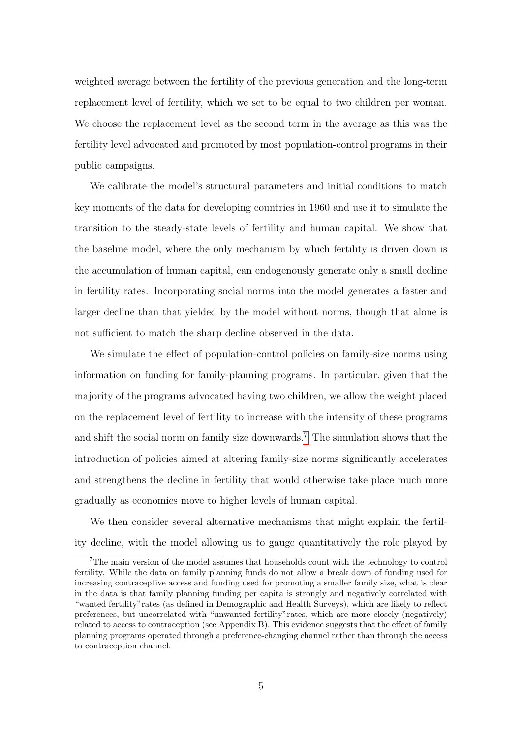weighted average between the fertility of the previous generation and the long-term replacement level of fertility, which we set to be equal to two children per woman. We choose the replacement level as the second term in the average as this was the fertility level advocated and promoted by most population-control programs in their public campaigns.

We calibrate the model's structural parameters and initial conditions to match key moments of the data for developing countries in 1960 and use it to simulate the transition to the steady-state levels of fertility and human capital. We show that the baseline model, where the only mechanism by which fertility is driven down is the accumulation of human capital, can endogenously generate only a small decline in fertility rates. Incorporating social norms into the model generates a faster and larger decline than that yielded by the model without norms, though that alone is not sufficient to match the sharp decline observed in the data.

We simulate the effect of population-control policies on family-size norms using information on funding for family-planning programs. In particular, given that the majority of the programs advocated having two children, we allow the weight placed on the replacement level of fertility to increase with the intensity of these programs and shift the social norm on family size downwards.<sup>[7](#page-4-0)</sup> The simulation shows that the introduction of policies aimed at altering family-size norms significantly accelerates and strengthens the decline in fertility that would otherwise take place much more gradually as economies move to higher levels of human capital.

We then consider several alternative mechanisms that might explain the fertility decline, with the model allowing us to gauge quantitatively the role played by

<span id="page-4-0"></span><sup>7</sup>The main version of the model assumes that households count with the technology to control fertility. While the data on family planning funds do not allow a break down of funding used for increasing contraceptive access and funding used for promoting a smaller family size, what is clear in the data is that family planning funding per capita is strongly and negatively correlated with "wanted fertility"rates (as defined in Demographic and Health Surveys), which are likely to reflect preferences, but uncorrelated with "unwanted fertility"rates, which are more closely (negatively) related to access to contraception (see Appendix B). This evidence suggests that the effect of family planning programs operated through a preference-changing channel rather than through the access to contraception channel.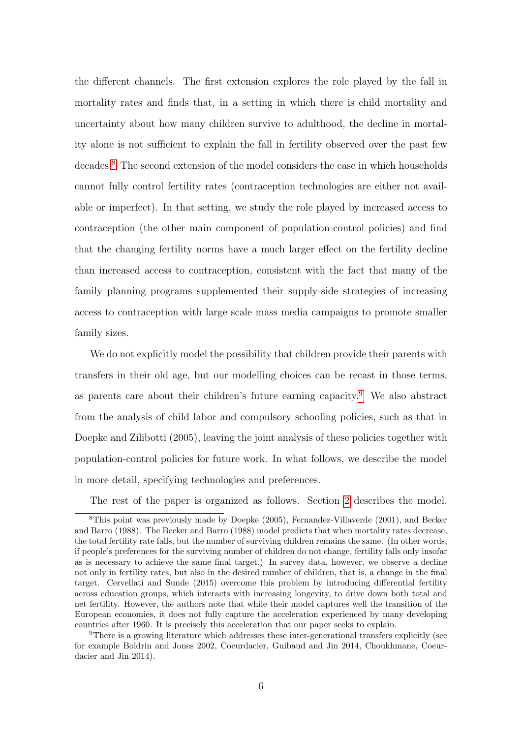the different channels. The first extension explores the role played by the fall in mortality rates and finds that, in a setting in which there is child mortality and uncertainty about how many children survive to adulthood, the decline in mortality alone is not sufficient to explain the fall in fertility observed over the past few decades.<sup>[8](#page-5-0)</sup> The second extension of the model considers the case in which households cannot fully control fertility rates (contraception technologies are either not available or imperfect). In that setting, we study the role played by increased access to contraception (the other main component of population-control policies) and find that the changing fertility norms have a much larger effect on the fertility decline than increased access to contraception, consistent with the fact that many of the family planning programs supplemented their supply-side strategies of increasing access to contraception with large scale mass media campaigns to promote smaller family sizes.

We do not explicitly model the possibility that children provide their parents with transfers in their old age, but our modelling choices can be recast in those terms, as parents care about their children's future earning capacity.<sup>[9](#page-5-1)</sup> We also abstract from the analysis of child labor and compulsory schooling policies, such as that in Doepke and Zilibotti (2005), leaving the joint analysis of these policies together with population-control policies for future work. In what follows, we describe the model in more detail, specifying technologies and preferences.

<span id="page-5-0"></span>The rest of the paper is organized as follows. Section [2](#page-6-0) describes the model.

<sup>8</sup>This point was previously made by Doepke (2005), Fernandez-Villaverde (2001), and Becker and Barro (1988). The Becker and Barro (1988) model predicts that when mortality rates decrease, the total fertility rate falls, but the number of surviving children remains the same. (In other words, if people's preferences for the surviving number of children do not change, fertility falls only insofar as is necessary to achieve the same final target.) In survey data, however, we observe a decline not only in fertility rates, but also in the desired number of children, that is, a change in the final target. Cervellati and Sunde (2015) overcome this problem by introducing differential fertility across education groups, which interacts with increasing longevity, to drive down both total and net fertility. However, the authors note that while their model captures well the transition of the European economies, it does not fully capture the acceleration experienced by many developing countries after 1960. It is precisely this acceleration that our paper seeks to explain.

<span id="page-5-1"></span><sup>9</sup>There is a growing literature which addresses these inter-generational transfers explicitly (see for example Boldrin and Jones 2002, Coeurdacier, Guibaud and Jin 2014, Choukhmane, Coeurdacier and Jin 2014).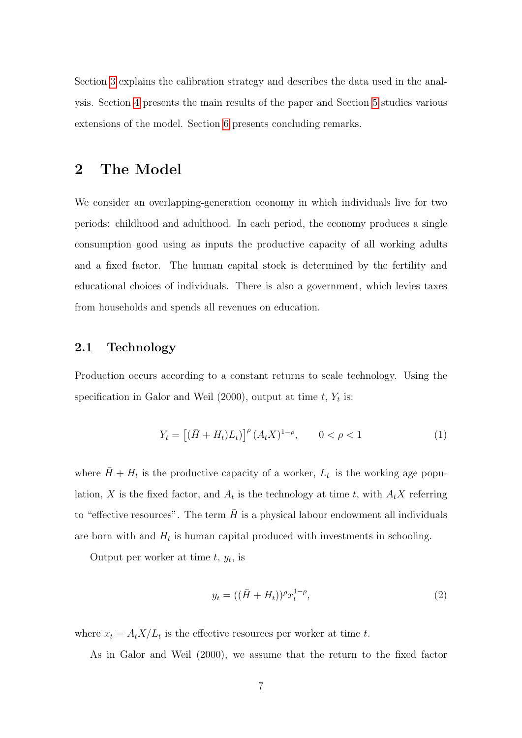Section [3](#page-10-0) explains the calibration strategy and describes the data used in the analysis. Section [4](#page-16-0) presents the main results of the paper and Section [5](#page-24-0) studies various extensions of the model. Section [6](#page-37-0) presents concluding remarks.

# <span id="page-6-0"></span>2 The Model

We consider an overlapping-generation economy in which individuals live for two periods: childhood and adulthood. In each period, the economy produces a single consumption good using as inputs the productive capacity of all working adults and a fixed factor. The human capital stock is determined by the fertility and educational choices of individuals. There is also a government, which levies taxes from households and spends all revenues on education.

# 2.1 Technology

Production occurs according to a constant returns to scale technology. Using the specification in Galor and Weil  $(2000)$ , output at time t,  $Y_t$  is:

$$
Y_t = [(\bar{H} + H_t)L_t)]^{\rho} (A_t X)^{1-\rho}, \qquad 0 < \rho < 1
$$
 (1)

where  $\bar{H} + H_t$  is the productive capacity of a worker,  $L_t$  is the working age population, X is the fixed factor, and  $A_t$  is the technology at time t, with  $A_t X$  referring to "effective resources". The term  $\bar{H}$  is a physical labour endowment all individuals are born with and  $H_t$  is human capital produced with investments in schooling.

Output per worker at time  $t, y_t$ , is

$$
y_t = ((\bar{H} + H_t))^{\rho} x_t^{1-\rho}, \tag{2}
$$

where  $x_t = A_t X/L_t$  is the effective resources per worker at time t.

As in Galor and Weil (2000), we assume that the return to the fixed factor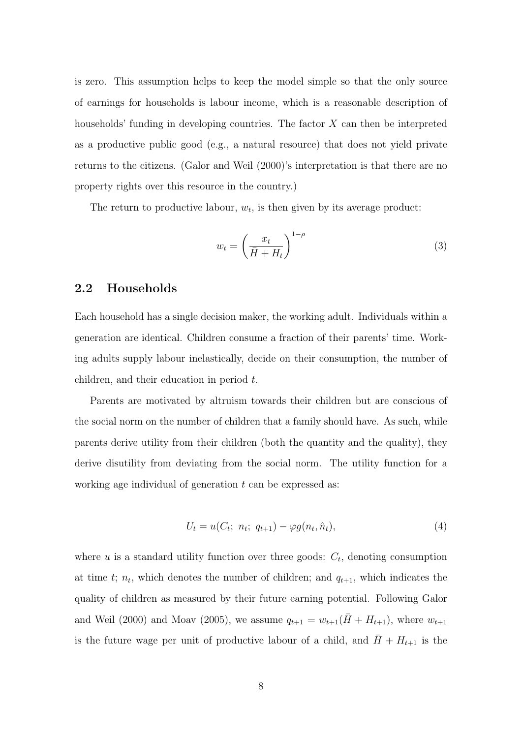is zero. This assumption helps to keep the model simple so that the only source of earnings for households is labour income, which is a reasonable description of households' funding in developing countries. The factor X can then be interpreted as a productive public good (e.g., a natural resource) that does not yield private returns to the citizens. (Galor and Weil (2000)'s interpretation is that there are no property rights over this resource in the country.)

The return to productive labour,  $w_t$ , is then given by its average product:

<span id="page-7-0"></span>
$$
w_t = \left(\frac{x_t}{\bar{H} + H_t}\right)^{1-\rho} \tag{3}
$$

## 2.2 Households

Each household has a single decision maker, the working adult. Individuals within a generation are identical. Children consume a fraction of their parents' time. Working adults supply labour inelastically, decide on their consumption, the number of children, and their education in period t.

Parents are motivated by altruism towards their children but are conscious of the social norm on the number of children that a family should have. As such, while parents derive utility from their children (both the quantity and the quality), they derive disutility from deviating from the social norm. The utility function for a working age individual of generation  $t$  can be expressed as:

$$
U_t = u(C_t; n_t; q_{t+1}) - \varphi g(n_t, \hat{n}_t), \tag{4}
$$

where  $u$  is a standard utility function over three goods:  $C_t$ , denoting consumption at time t;  $n_t$ , which denotes the number of children; and  $q_{t+1}$ , which indicates the quality of children as measured by their future earning potential. Following Galor and Weil (2000) and Moav (2005), we assume  $q_{t+1} = w_{t+1}(\bar{H} + H_{t+1})$ , where  $w_{t+1}$ is the future wage per unit of productive labour of a child, and  $H + H_{t+1}$  is the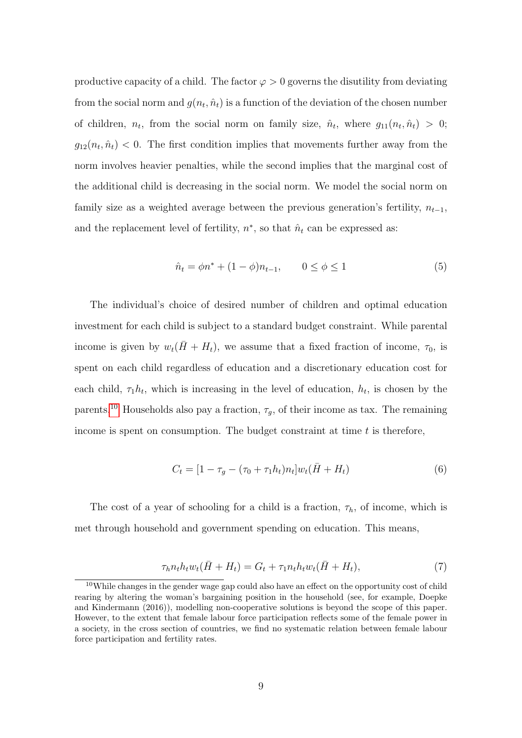productive capacity of a child. The factor  $\varphi > 0$  governs the disutility from deviating from the social norm and  $g(n_t, \hat{n}_t)$  is a function of the deviation of the chosen number of children,  $n_t$ , from the social norm on family size,  $\hat{n}_t$ , where  $g_{11}(n_t, \hat{n}_t) > 0$ ;  $g_{12}(n_t, \hat{n}_t)$  < 0. The first condition implies that movements further away from the norm involves heavier penalties, while the second implies that the marginal cost of the additional child is decreasing in the social norm. We model the social norm on family size as a weighted average between the previous generation's fertility,  $n_{t-1}$ , and the replacement level of fertility,  $n^*$ , so that  $\hat{n}_t$  can be expressed as:

<span id="page-8-3"></span>
$$
\hat{n}_t = \phi n^* + (1 - \phi)n_{t-1}, \qquad 0 \le \phi \le 1 \tag{5}
$$

The individual's choice of desired number of children and optimal education investment for each child is subject to a standard budget constraint. While parental income is given by  $w_t(H + H_t)$ , we assume that a fixed fraction of income,  $\tau_0$ , is spent on each child regardless of education and a discretionary education cost for each child,  $\tau_1 h_t$ , which is increasing in the level of education,  $h_t$ , is chosen by the parents.<sup>[10](#page-8-0)</sup> Households also pay a fraction,  $\tau_g$ , of their income as tax. The remaining income is spent on consumption. The budget constraint at time  $t$  is therefore,

<span id="page-8-2"></span><span id="page-8-1"></span>
$$
C_t = [1 - \tau_g - (\tau_0 + \tau_1 h_t) n_t] w_t (\bar{H} + H_t)
$$
\n(6)

The cost of a year of schooling for a child is a fraction,  $\tau_h$ , of income, which is met through household and government spending on education. This means,

$$
\tau_h n_t h_t w_t (\bar{H} + H_t) = G_t + \tau_1 n_t h_t w_t (\bar{H} + H_t), \qquad (7)
$$

<span id="page-8-0"></span><sup>&</sup>lt;sup>10</sup>While changes in the gender wage gap could also have an effect on the opportunity cost of child rearing by altering the woman's bargaining position in the household (see, for example, Doepke and Kindermann (2016)), modelling non-cooperative solutions is beyond the scope of this paper. However, to the extent that female labour force participation reflects some of the female power in a society, in the cross section of countries, we find no systematic relation between female labour force participation and fertility rates.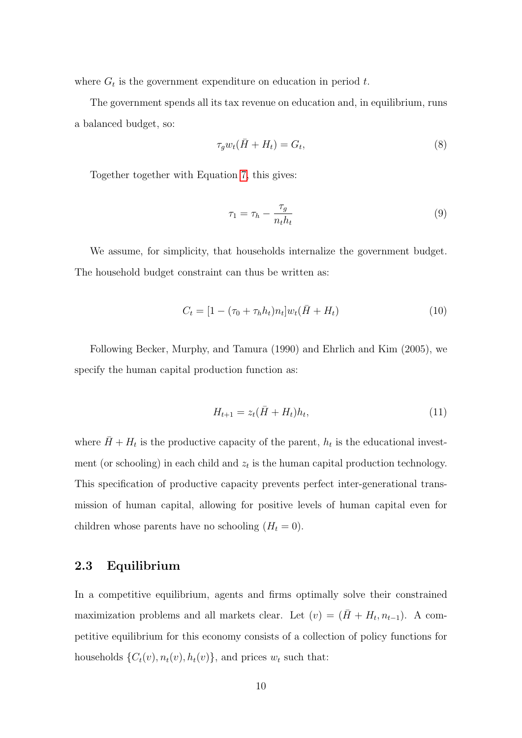where  $G_t$  is the government expenditure on education in period t.

The government spends all its tax revenue on education and, in equilibrium, runs a balanced budget, so:

<span id="page-9-1"></span>
$$
\tau_g w_t(\bar{H} + H_t) = G_t,\tag{8}
$$

Together together with Equation [7,](#page-8-1) this gives:

<span id="page-9-2"></span>
$$
\tau_1 = \tau_h - \frac{\tau_g}{n_t h_t} \tag{9}
$$

We assume, for simplicity, that households internalize the government budget. The household budget constraint can thus be written as:

$$
C_t = [1 - (\tau_0 + \tau_h h_t) n_t] w_t (\bar{H} + H_t)
$$
\n(10)

<span id="page-9-0"></span>Following Becker, Murphy, and Tamura (1990) and Ehrlich and Kim (2005), we specify the human capital production function as:

$$
H_{t+1} = z_t(\bar{H} + H_t)h_t,
$$
\n(11)

where  $\bar{H} + H_t$  is the productive capacity of the parent,  $h_t$  is the educational investment (or schooling) in each child and  $z_t$  is the human capital production technology. This specification of productive capacity prevents perfect inter-generational transmission of human capital, allowing for positive levels of human capital even for children whose parents have no schooling  $(H_t = 0)$ .

# 2.3 Equilibrium

In a competitive equilibrium, agents and firms optimally solve their constrained maximization problems and all markets clear. Let  $(v) = (\bar{H} + H_t, n_{t-1})$ . A competitive equilibrium for this economy consists of a collection of policy functions for households  $\{C_t(v), n_t(v), h_t(v)\}$ , and prices  $w_t$  such that: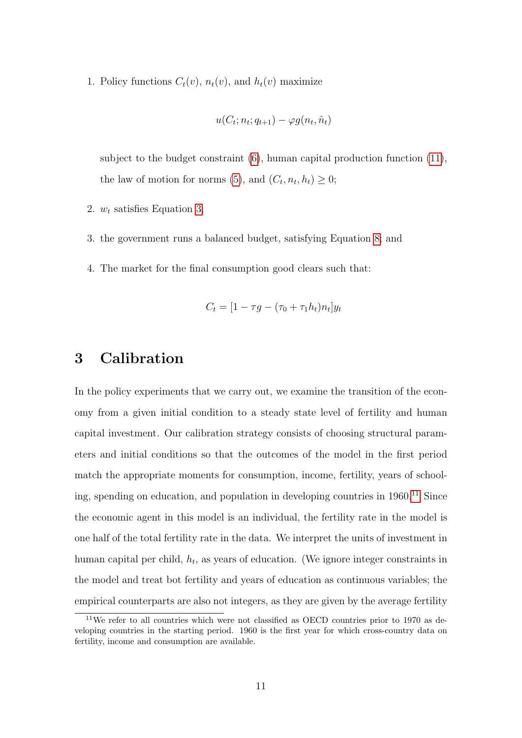1. Policy functions  $C_t(v)$ ,  $n_t(v)$ , and  $h_t(v)$  maximize

$$
u(C_t; n_t; q_{t+1}) - \varphi g(n_t, \hat{n}_t)
$$

subject to the budget constraint  $(6)$ , human capital production function  $(11)$ , the law of motion for norms [\(5\)](#page-8-3), and  $(C_t, n_t, h_t) \geq 0$ ;

- 2.  $w_t$  satisfies Equation [3;](#page-7-0)
- 3. the government runs a balanced budget, satisfying Equation [8;](#page-9-1) and
- 4. The market for the final consumption good clears such that:

$$
C_t = [1 - \tau g - (\tau_0 + \tau_1 h_t) n_t] y_t
$$

# <span id="page-10-0"></span>3 Calibration

In the policy experiments that we carry out, we examine the transition of the economy from a given initial condition to a steady state level of fertility and human capital investment. Our calibration strategy consists of choosing structural parameters and initial conditions so that the outcomes of the model in the first period match the appropriate moments for consumption, income, fertility, years of schooling, spending on education, and population in developing countries in  $1960.<sup>11</sup>$  $1960.<sup>11</sup>$  $1960.<sup>11</sup>$  Since the economic agent in this model is an individual, the fertility rate in the model is one half of the total fertility rate in the data. We interpret the units of investment in human capital per child,  $h_t$ , as years of education. (We ignore integer constraints in the model and treat bot fertility and years of education as continuous variables; the empirical counterparts are also not integers, as they are given by the average fertility

<span id="page-10-1"></span> $11$ We refer to all countries which were not classified as OECD countries prior to 1970 as developing countries in the starting period. 1960 is the first year for which cross-country data on fertility, income and consumption are available.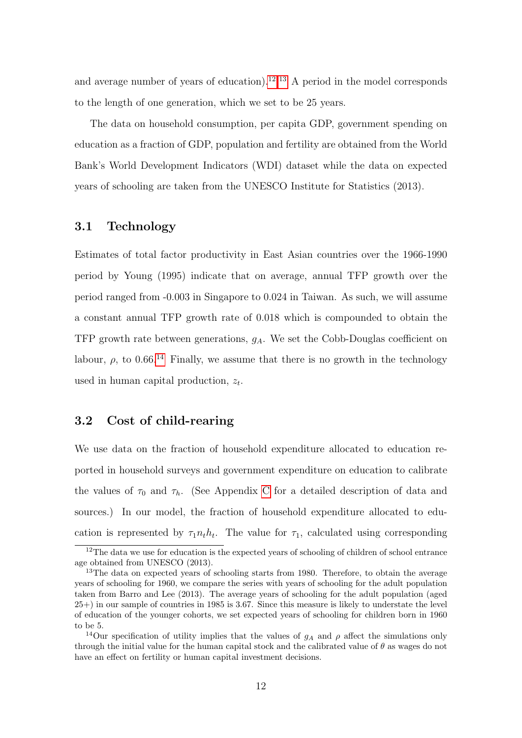and average number of years of education).<sup>[12](#page-11-0),[13](#page-11-1)</sup> A period in the model corresponds to the length of one generation, which we set to be 25 years.

The data on household consumption, per capita GDP, government spending on education as a fraction of GDP, population and fertility are obtained from the World Bank's World Development Indicators (WDI) dataset while the data on expected years of schooling are taken from the UNESCO Institute for Statistics (2013).

## 3.1 Technology

Estimates of total factor productivity in East Asian countries over the 1966-1990 period by Young (1995) indicate that on average, annual TFP growth over the period ranged from -0.003 in Singapore to 0.024 in Taiwan. As such, we will assume a constant annual TFP growth rate of 0.018 which is compounded to obtain the TFP growth rate between generations,  $g_A$ . We set the Cobb-Douglas coefficient on labour,  $\rho$ , to 0.66.<sup>[14](#page-11-2)</sup> Finally, we assume that there is no growth in the technology used in human capital production,  $z_t$ .

# 3.2 Cost of child-rearing

We use data on the fraction of household expenditure allocated to education reported in household surveys and government expenditure on education to calibrate the values of  $\tau_0$  and  $\tau_h$ . (See Appendix [C](#page-54-0) for a detailed description of data and sources.) In our model, the fraction of household expenditure allocated to education is represented by  $\tau_1 n_t h_t$ . The value for  $\tau_1$ , calculated using corresponding

<span id="page-11-0"></span><sup>&</sup>lt;sup>12</sup>The data we use for education is the expected years of schooling of children of school entrance age obtained from UNESCO (2013).

<span id="page-11-1"></span><sup>&</sup>lt;sup>13</sup>The data on expected years of schooling starts from 1980. Therefore, to obtain the average years of schooling for 1960, we compare the series with years of schooling for the adult population taken from Barro and Lee (2013). The average years of schooling for the adult population (aged 25+) in our sample of countries in 1985 is 3.67. Since this measure is likely to understate the level of education of the younger cohorts, we set expected years of schooling for children born in 1960 to be 5.

<span id="page-11-2"></span><sup>&</sup>lt;sup>14</sup>Our specification of utility implies that the values of  $g_A$  and  $\rho$  affect the simulations only through the initial value for the human capital stock and the calibrated value of  $\theta$  as wages do not have an effect on fertility or human capital investment decisions.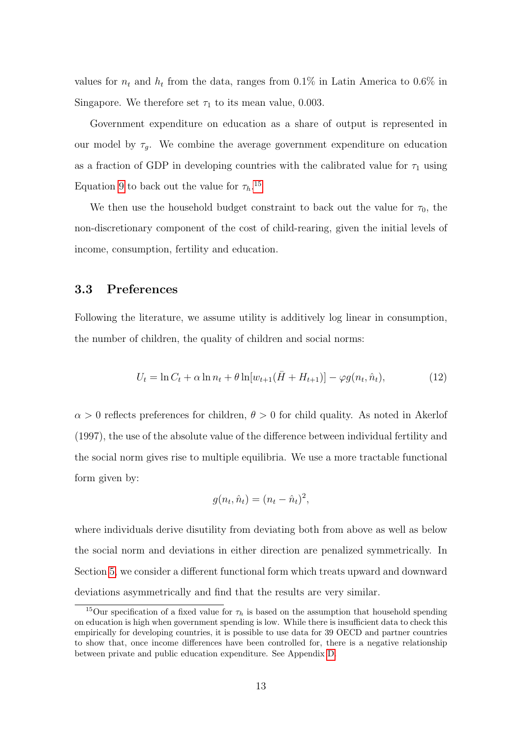values for  $n_t$  and  $h_t$  from the data, ranges from 0.1% in Latin America to 0.6% in Singapore. We therefore set  $\tau_1$  to its mean value, 0.003.

Government expenditure on education as a share of output is represented in our model by  $\tau_q$ . We combine the average government expenditure on education as a fraction of GDP in developing countries with the calibrated value for  $\tau_1$  using Equation [9](#page-9-2) to back out the value for  $\tau_h$ .<sup>[15](#page-12-0)</sup>

We then use the household budget constraint to back out the value for  $\tau_0$ , the non-discretionary component of the cost of child-rearing, given the initial levels of income, consumption, fertility and education.

# 3.3 Preferences

Following the literature, we assume utility is additively log linear in consumption, the number of children, the quality of children and social norms:

$$
U_t = \ln C_t + \alpha \ln n_t + \theta \ln[w_{t+1}(\bar{H} + H_{t+1})] - \varphi g(n_t, \hat{n}_t), \tag{12}
$$

 $\alpha > 0$  reflects preferences for children,  $\theta > 0$  for child quality. As noted in Akerlof (1997), the use of the absolute value of the difference between individual fertility and the social norm gives rise to multiple equilibria. We use a more tractable functional form given by:

$$
g(n_t, \hat{n}_t) = (n_t - \hat{n}_t)^2,
$$

where individuals derive disutility from deviating both from above as well as below the social norm and deviations in either direction are penalized symmetrically. In Section [5,](#page-24-0) we consider a different functional form which treats upward and downward deviations asymmetrically and find that the results are very similar.

<span id="page-12-0"></span><sup>&</sup>lt;sup>15</sup>Our specification of a fixed value for  $\tau_h$  is based on the assumption that household spending on education is high when government spending is low. While there is insufficient data to check this empirically for developing countries, it is possible to use data for 39 OECD and partner countries to show that, once income differences have been controlled for, there is a negative relationship between private and public education expenditure. See Appendix [D.](#page-55-0)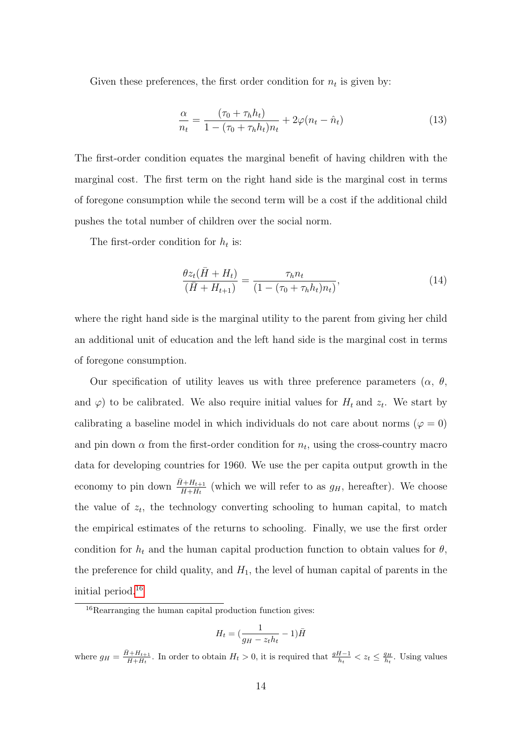Given these preferences, the first order condition for  $n_t$  is given by:

<span id="page-13-1"></span>
$$
\frac{\alpha}{n_t} = \frac{(\tau_0 + \tau_h h_t)}{1 - (\tau_0 + \tau_h h_t) n_t} + 2\varphi(n_t - \hat{n}_t)
$$
\n(13)

The first-order condition equates the marginal benefit of having children with the marginal cost. The first term on the right hand side is the marginal cost in terms of foregone consumption while the second term will be a cost if the additional child pushes the total number of children over the social norm.

The first-order condition for  $h_t$  is:

<span id="page-13-2"></span>
$$
\frac{\theta z_t(\bar{H} + H_t)}{(\bar{H} + H_{t+1})} = \frac{\tau_h n_t}{(1 - (\tau_0 + \tau_h h_t) n_t)},\tag{14}
$$

where the right hand side is the marginal utility to the parent from giving her child an additional unit of education and the left hand side is the marginal cost in terms of foregone consumption.

Our specification of utility leaves us with three preference parameters  $(\alpha, \theta, \theta)$ and  $\varphi$ ) to be calibrated. We also require initial values for  $H_t$  and  $z_t$ . We start by calibrating a baseline model in which individuals do not care about norms ( $\varphi = 0$ ) and pin down  $\alpha$  from the first-order condition for  $n_t$ , using the cross-country macro data for developing countries for 1960. We use the per capita output growth in the economy to pin down  $\frac{\bar{H} + H_{t+1}}{\bar{H} + H_t}$  (which we will refer to as  $g_H$ , hereafter). We choose the value of  $z_t$ , the technology converting schooling to human capital, to match the empirical estimates of the returns to schooling. Finally, we use the first order condition for  $h_t$  and the human capital production function to obtain values for  $\theta$ , the preference for child quality, and  $H_1$ , the level of human capital of parents in the initial period.[16](#page-13-0)

$$
H_t = \left(\frac{1}{g_H - z_t h_t} - 1\right) \bar{H}
$$

where  $g_H = \frac{\bar{H} + H_{t+1}}{\bar{H} + H_t}$  $\frac{H + H_{t+1}}{H + H_t}$ . In order to obtain  $H_t > 0$ , it is required that  $\frac{gH - 1}{h_t} < z_t \leq \frac{g_H}{h_t}$ . Using values

<span id="page-13-0"></span><sup>&</sup>lt;sup>16</sup>Rearranging the human capital production function gives: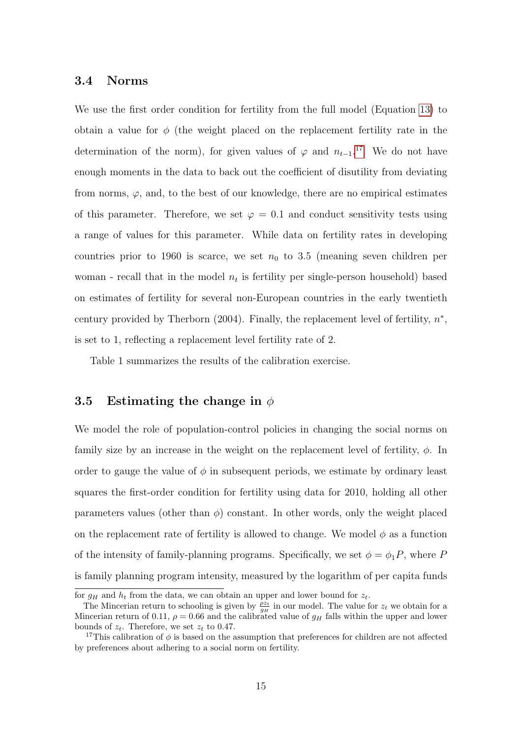## 3.4 Norms

We use the first order condition for fertility from the full model (Equation [13\)](#page-13-1) to obtain a value for  $\phi$  (the weight placed on the replacement fertility rate in the determination of the norm), for given values of  $\varphi$  and  $n_{t-1}$ .<sup>[17](#page-14-0)</sup> We do not have enough moments in the data to back out the coefficient of disutility from deviating from norms,  $\varphi$ , and, to the best of our knowledge, there are no empirical estimates of this parameter. Therefore, we set  $\varphi = 0.1$  and conduct sensitivity tests using a range of values for this parameter. While data on fertility rates in developing countries prior to 1960 is scarce, we set  $n_0$  to 3.5 (meaning seven children per woman - recall that in the model  $n_t$  is fertility per single-person household) based on estimates of fertility for several non-European countries in the early twentieth century provided by Therborn  $(2004)$ . Finally, the replacement level of fertility,  $n^*$ , is set to 1, reflecting a replacement level fertility rate of 2.

Table 1 summarizes the results of the calibration exercise.

## <span id="page-14-1"></span>3.5 Estimating the change in  $\phi$

We model the role of population-control policies in changing the social norms on family size by an increase in the weight on the replacement level of fertility,  $\phi$ . In order to gauge the value of  $\phi$  in subsequent periods, we estimate by ordinary least squares the first-order condition for fertility using data for 2010, holding all other parameters values (other than  $\phi$ ) constant. In other words, only the weight placed on the replacement rate of fertility is allowed to change. We model  $\phi$  as a function of the intensity of family-planning programs. Specifically, we set  $\phi = \phi_1 P$ , where P is family planning program intensity, measured by the logarithm of per capita funds

for  $g_H$  and  $h_t$  from the data, we can obtain an upper and lower bound for  $z_t$ .

The Mincerian return to schooling is given by  $\frac{\rho z_t}{g_H}$  in our model. The value for  $z_t$  we obtain for a Mincerian return of 0.11,  $\rho = 0.66$  and the calibrated value of  $g_H$  falls within the upper and lower bounds of  $z_t$ . Therefore, we set  $z_t$  to 0.47.

<span id="page-14-0"></span><sup>&</sup>lt;sup>17</sup>This calibration of  $\phi$  is based on the assumption that preferences for children are not affected by preferences about adhering to a social norm on fertility.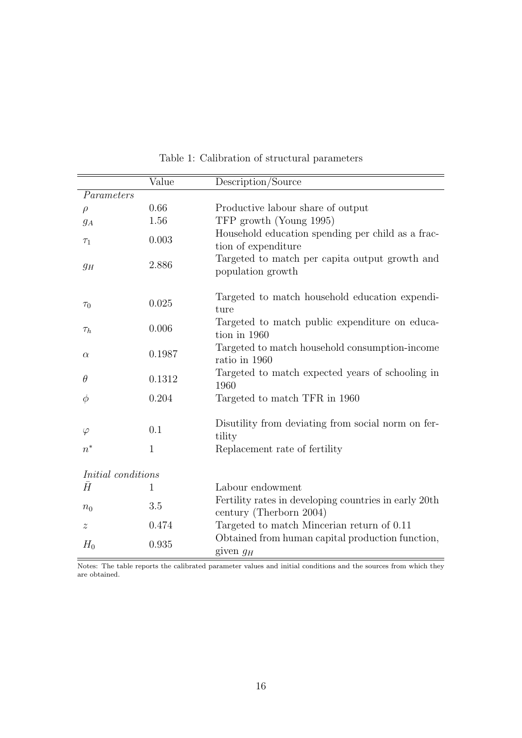|                    | Value  | Description/Source                                                               |
|--------------------|--------|----------------------------------------------------------------------------------|
| Parameters         |        |                                                                                  |
| $\rho$             | 0.66   | Productive labour share of output                                                |
| $g_A$              | 1.56   | TFP growth (Young 1995)                                                          |
| $\tau_1$           | 0.003  | Household education spending per child as a frac-<br>tion of expenditure         |
| $g_H$              | 2.886  | Targeted to match per capita output growth and<br>population growth              |
| $\tau_0$           | 0.025  | Targeted to match household education expendi-<br>ture                           |
| $\tau_h$           | 0.006  | Targeted to match public expenditure on educa-<br>tion in 1960                   |
| $\alpha$           | 0.1987 | Targeted to match household consumption-income<br>ratio in 1960                  |
| $\theta$           | 0.1312 | Targeted to match expected years of schooling in<br>1960                         |
| $\phi$             | 0.204  | Targeted to match TFR in 1960                                                    |
| $\varphi$          | 0.1    | Disutility from deviating from social norm on fer-<br>tility                     |
| $n^*$              | 1      | Replacement rate of fertility                                                    |
| Initial conditions |        |                                                                                  |
| Ā                  | 1      | Labour endowment                                                                 |
| $n_0$              | 3.5    | Fertility rates in developing countries in early 20th<br>century (Therborn 2004) |
| $\boldsymbol{z}$   | 0.474  | Targeted to match Mincerian return of 0.11                                       |
| $H_0$              | 0.935  | Obtained from human capital production function,<br>given $g_H$                  |

Table 1: Calibration of structural parameters

 $\mathcal{L}$ 

Notes: The table reports the calibrated parameter values and initial conditions and the sources from which they are obtained.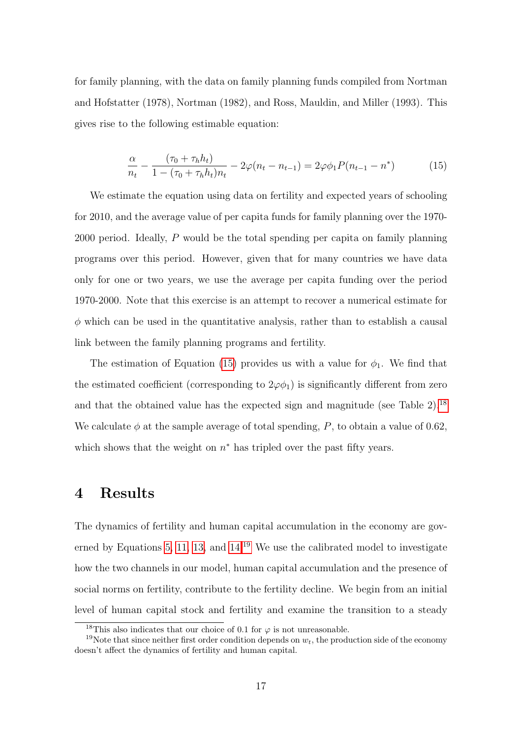<span id="page-16-1"></span>for family planning, with the data on family planning funds compiled from Nortman and Hofstatter (1978), Nortman (1982), and Ross, Mauldin, and Miller (1993). This gives rise to the following estimable equation:

$$
\frac{\alpha}{n_t} - \frac{(\tau_0 + \tau_h h_t)}{1 - (\tau_0 + \tau_h h_t) n_t} - 2\varphi(n_t - n_{t-1}) = 2\varphi\phi_1 P(n_{t-1} - n^*)
$$
(15)

We estimate the equation using data on fertility and expected years of schooling for 2010, and the average value of per capita funds for family planning over the 1970- 2000 period. Ideally, P would be the total spending per capita on family planning programs over this period. However, given that for many countries we have data only for one or two years, we use the average per capita funding over the period 1970-2000. Note that this exercise is an attempt to recover a numerical estimate for  $\phi$  which can be used in the quantitative analysis, rather than to establish a causal link between the family planning programs and fertility.

The estimation of Equation [\(15\)](#page-16-1) provides us with a value for  $\phi_1$ . We find that the estimated coefficient (corresponding to  $2\varphi\phi_1$ ) is significantly different from zero and that the obtained value has the expected sign and magnitude (see Table 2).[18](#page-16-2) We calculate  $\phi$  at the sample average of total spending, P, to obtain a value of 0.62, which shows that the weight on  $n^*$  has tripled over the past fifty years.

# <span id="page-16-0"></span>4 Results

The dynamics of fertility and human capital accumulation in the economy are gov-erned by Equations [5,](#page-8-3) [11,](#page-9-0) [13,](#page-13-1) and  $14<sup>19</sup>$  $14<sup>19</sup>$  $14<sup>19</sup>$  We use the calibrated model to investigate how the two channels in our model, human capital accumulation and the presence of social norms on fertility, contribute to the fertility decline. We begin from an initial level of human capital stock and fertility and examine the transition to a steady

<span id="page-16-3"></span><span id="page-16-2"></span><sup>&</sup>lt;sup>18</sup>This also indicates that our choice of 0.1 for  $\varphi$  is not unreasonable.

<sup>&</sup>lt;sup>19</sup>Note that since neither first order condition depends on  $w_t$ , the production side of the economy doesn't affect the dynamics of fertility and human capital.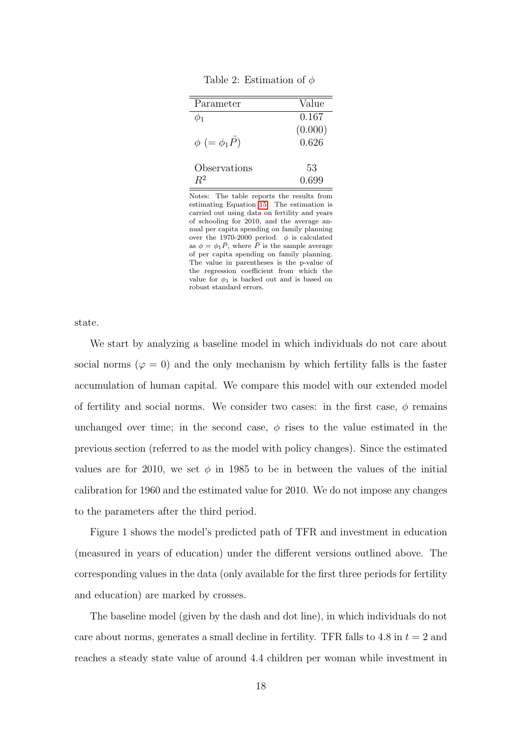Table 2: Estimation of  $\phi$ 

| Value   |
|---------|
| 0.167   |
| (0.000) |
| 0.626   |
| 53      |
| 0.699   |
|         |

Notes: The table reports the results from estimating Equation [15.](#page-16-1) The estimation is carried out using data on fertility and years of schooling for 2010, and the average annual per capita spending on family planning over the 1970-2000 period.  $\phi$  is calculated as  $\phi = \phi_1 \bar{P}$ , where  $\bar{P}$  is the sample average of per capita spending on family planning. The value in parentheses is the p-value of the regression coefficient from which the value for  $\phi_1$  is backed out and is based on robust standard errors.

state.

We start by analyzing a baseline model in which individuals do not care about social norms ( $\varphi = 0$ ) and the only mechanism by which fertility falls is the faster accumulation of human capital. We compare this model with our extended model of fertility and social norms. We consider two cases: in the first case,  $\phi$  remains unchanged over time; in the second case,  $\phi$  rises to the value estimated in the previous section (referred to as the model with policy changes). Since the estimated values are for 2010, we set  $\phi$  in 1985 to be in between the values of the initial calibration for 1960 and the estimated value for 2010. We do not impose any changes to the parameters after the third period.

Figure 1 shows the model's predicted path of TFR and investment in education (measured in years of education) under the different versions outlined above. The corresponding values in the data (only available for the first three periods for fertility and education) are marked by crosses.

The baseline model (given by the dash and dot line), in which individuals do not care about norms, generates a small decline in fertility. TFR falls to 4.8 in  $t = 2$  and reaches a steady state value of around 4.4 children per woman while investment in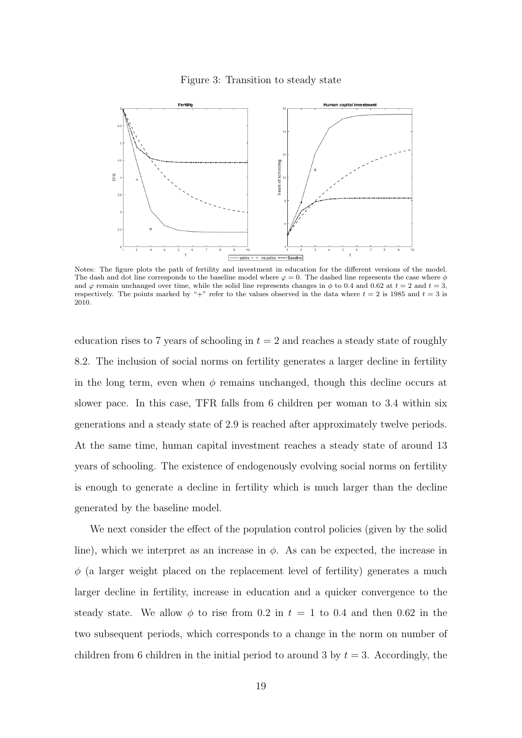



Notes: The figure plots the path of fertility and investment in education for the different versions of the model. The dash and dot line corresponds to the baseline model where  $\varphi = 0$ . The dashed line represents the case where  $\phi$ and  $\varphi$  remain unchanged over time, while the solid line represents changes in  $\phi$  to 0.4 and 0.62 at  $t = 2$  and  $t = 3$ , respectively. The points marked by "+" refer to the values observed in the data where  $t = 2$  is 1985 and  $t = 3$  is 2010.

education rises to 7 years of schooling in  $t = 2$  and reaches a steady state of roughly 8.2. The inclusion of social norms on fertility generates a larger decline in fertility in the long term, even when  $\phi$  remains unchanged, though this decline occurs at slower pace. In this case, TFR falls from 6 children per woman to 3.4 within six generations and a steady state of 2.9 is reached after approximately twelve periods. At the same time, human capital investment reaches a steady state of around 13 years of schooling. The existence of endogenously evolving social norms on fertility is enough to generate a decline in fertility which is much larger than the decline generated by the baseline model.

We next consider the effect of the population control policies (given by the solid line), which we interpret as an increase in  $\phi$ . As can be expected, the increase in  $\phi$  (a larger weight placed on the replacement level of fertility) generates a much larger decline in fertility, increase in education and a quicker convergence to the steady state. We allow  $\phi$  to rise from 0.2 in  $t = 1$  to 0.4 and then 0.62 in the two subsequent periods, which corresponds to a change in the norm on number of children from 6 children in the initial period to around 3 by  $t = 3$ . Accordingly, the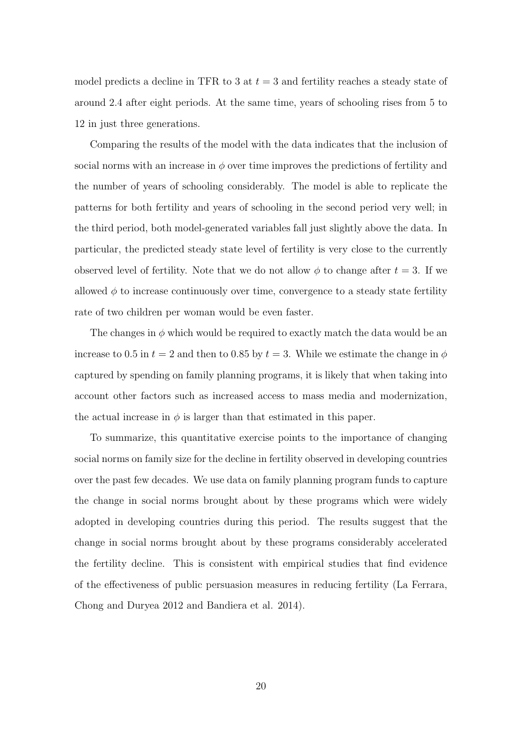model predicts a decline in TFR to 3 at  $t = 3$  and fertility reaches a steady state of around 2.4 after eight periods. At the same time, years of schooling rises from 5 to 12 in just three generations.

Comparing the results of the model with the data indicates that the inclusion of social norms with an increase in  $\phi$  over time improves the predictions of fertility and the number of years of schooling considerably. The model is able to replicate the patterns for both fertility and years of schooling in the second period very well; in the third period, both model-generated variables fall just slightly above the data. In particular, the predicted steady state level of fertility is very close to the currently observed level of fertility. Note that we do not allow  $\phi$  to change after  $t = 3$ . If we allowed  $\phi$  to increase continuously over time, convergence to a steady state fertility rate of two children per woman would be even faster.

The changes in  $\phi$  which would be required to exactly match the data would be an increase to 0.5 in  $t = 2$  and then to 0.85 by  $t = 3$ . While we estimate the change in  $\phi$ captured by spending on family planning programs, it is likely that when taking into account other factors such as increased access to mass media and modernization, the actual increase in  $\phi$  is larger than that estimated in this paper.

To summarize, this quantitative exercise points to the importance of changing social norms on family size for the decline in fertility observed in developing countries over the past few decades. We use data on family planning program funds to capture the change in social norms brought about by these programs which were widely adopted in developing countries during this period. The results suggest that the change in social norms brought about by these programs considerably accelerated the fertility decline. This is consistent with empirical studies that find evidence of the effectiveness of public persuasion measures in reducing fertility (La Ferrara, Chong and Duryea 2012 and Bandiera et al. 2014).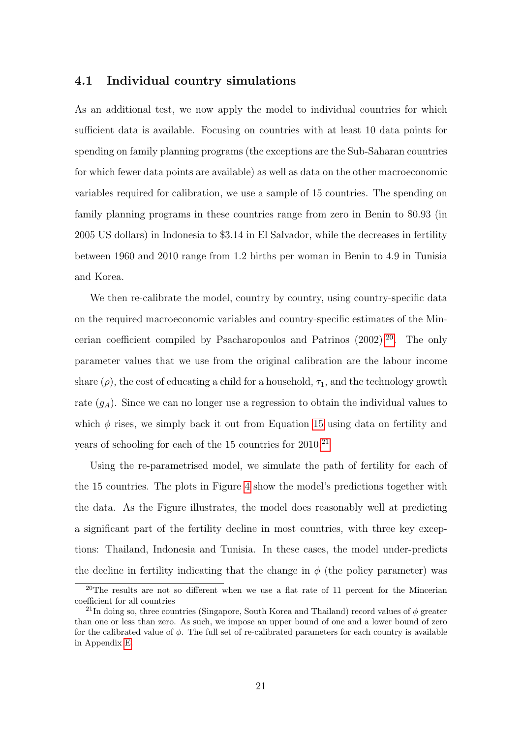## 4.1 Individual country simulations

As an additional test, we now apply the model to individual countries for which sufficient data is available. Focusing on countries with at least 10 data points for spending on family planning programs (the exceptions are the Sub-Saharan countries for which fewer data points are available) as well as data on the other macroeconomic variables required for calibration, we use a sample of 15 countries. The spending on family planning programs in these countries range from zero in Benin to \$0.93 (in 2005 US dollars) in Indonesia to \$3.14 in El Salvador, while the decreases in fertility between 1960 and 2010 range from 1.2 births per woman in Benin to 4.9 in Tunisia and Korea.

We then re-calibrate the model, country by country, using country-specific data on the required macroeconomic variables and country-specific estimates of the Mincerian coefficient compiled by Psacharopoulos and Patrinos (2002).[20](#page-20-0). The only parameter values that we use from the original calibration are the labour income share  $(\rho)$ , the cost of educating a child for a household,  $\tau_1$ , and the technology growth rate  $(g_A)$ . Since we can no longer use a regression to obtain the individual values to which  $\phi$  rises, we simply back it out from Equation [15](#page-16-1) using data on fertility and years of schooling for each of the  $15$  countries for  $2010<sup>21</sup>$  $2010<sup>21</sup>$  $2010<sup>21</sup>$ 

Using the re-parametrised model, we simulate the path of fertility for each of the 15 countries. The plots in Figure [4](#page-21-0) show the model's predictions together with the data. As the Figure illustrates, the model does reasonably well at predicting a significant part of the fertility decline in most countries, with three key exceptions: Thailand, Indonesia and Tunisia. In these cases, the model under-predicts the decline in fertility indicating that the change in  $\phi$  (the policy parameter) was

<span id="page-20-0"></span><sup>20</sup>The results are not so different when we use a flat rate of 11 percent for the Mincerian coefficient for all countries

<span id="page-20-1"></span><sup>&</sup>lt;sup>21</sup>In doing so, three countries (Singapore, South Korea and Thailand) record values of  $\phi$  greater than one or less than zero. As such, we impose an upper bound of one and a lower bound of zero for the calibrated value of  $\phi$ . The full set of re-calibrated parameters for each country is available in Appendix [E.](#page-56-0)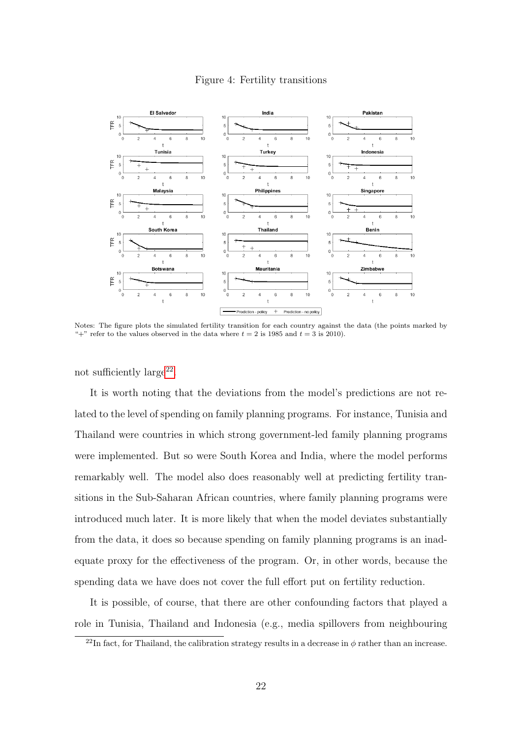<span id="page-21-0"></span>

#### Figure 4: Fertility transitions

Notes: The figure plots the simulated fertility transition for each country against the data (the points marked by "+" refer to the values observed in the data where  $t = 2$  is 1985 and  $t = 3$  is 2010).

not sufficiently  $\text{large}^{22}$  $\text{large}^{22}$  $\text{large}^{22}$ .

It is worth noting that the deviations from the model's predictions are not related to the level of spending on family planning programs. For instance, Tunisia and Thailand were countries in which strong government-led family planning programs were implemented. But so were South Korea and India, where the model performs remarkably well. The model also does reasonably well at predicting fertility transitions in the Sub-Saharan African countries, where family planning programs were introduced much later. It is more likely that when the model deviates substantially from the data, it does so because spending on family planning programs is an inadequate proxy for the effectiveness of the program. Or, in other words, because the spending data we have does not cover the full effort put on fertility reduction.

It is possible, of course, that there are other confounding factors that played a role in Tunisia, Thailand and Indonesia (e.g., media spillovers from neighbouring

<span id="page-21-1"></span><sup>&</sup>lt;sup>22</sup>In fact, for Thailand, the calibration strategy results in a decrease in  $\phi$  rather than an increase.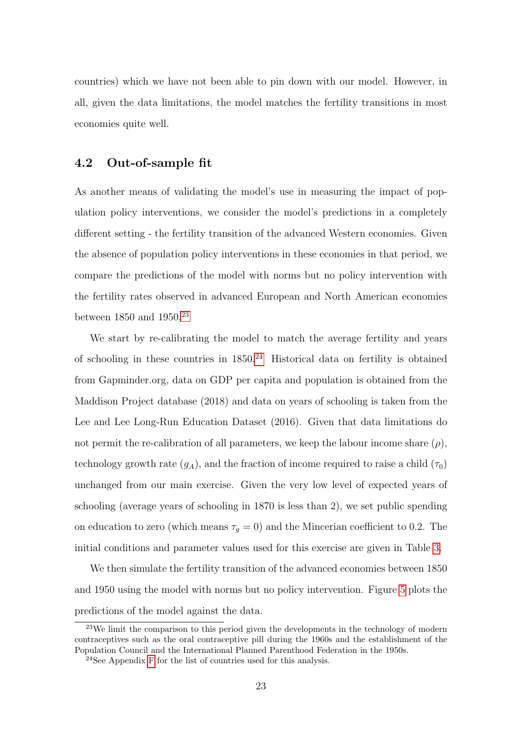countries) which we have not been able to pin down with our model. However, in all, given the data limitations, the model matches the fertility transitions in most economies quite well.

# 4.2 Out-of-sample fit

As another means of validating the model's use in measuring the impact of population policy interventions, we consider the model's predictions in a completely different setting - the fertility transition of the advanced Western economies. Given the absence of population policy interventions in these economies in that period, we compare the predictions of the model with norms but no policy intervention with the fertility rates observed in advanced European and North American economies between  $1850$  and  $1950.<sup>23</sup>$  $1950.<sup>23</sup>$  $1950.<sup>23</sup>$ 

We start by re-calibrating the model to match the average fertility and years of schooling in these countries in  $1850<sup>24</sup>$  $1850<sup>24</sup>$  $1850<sup>24</sup>$  Historical data on fertility is obtained from Gapminder.org, data on GDP per capita and population is obtained from the Maddison Project database (2018) and data on years of schooling is taken from the Lee and Lee Long-Run Education Dataset (2016). Given that data limitations do not permit the re-calibration of all parameters, we keep the labour income share  $(\rho)$ , technology growth rate  $(g_A)$ , and the fraction of income required to raise a child  $(\tau_0)$ unchanged from our main exercise. Given the very low level of expected years of schooling (average years of schooling in 1870 is less than 2), we set public spending on education to zero (which means  $\tau_g = 0$ ) and the Mincerian coefficient to 0.2. The initial conditions and parameter values used for this exercise are given in Table [3.](#page-23-0)

We then simulate the fertility transition of the advanced economies between 1850 and 1950 using the model with norms but no policy intervention. Figure [5](#page-24-1) plots the predictions of the model against the data.

<span id="page-22-0"></span><sup>23</sup>We limit the comparison to this period given the developments in the technology of modern contraceptives such as the oral contraceptive pill during the 1960s and the establishment of the Population Council and the International Planned Parenthood Federation in the 1950s.

<span id="page-22-1"></span><sup>24</sup>See Appendix [F](#page-57-0) for the list of countries used for this analysis.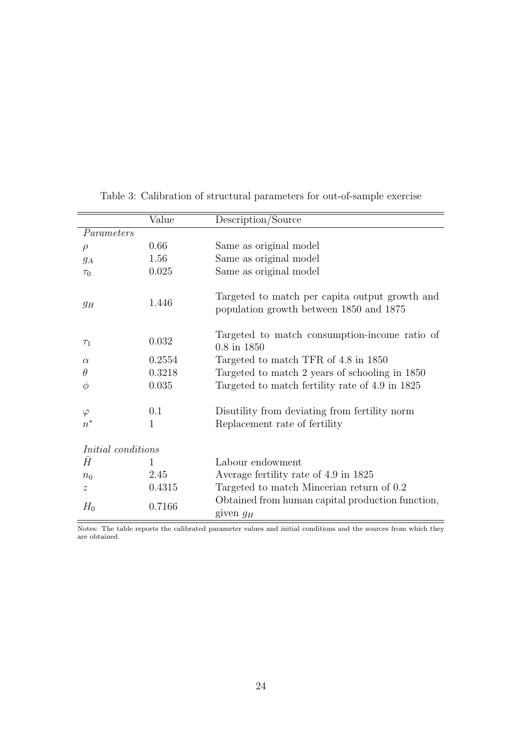|                           | Value    | Description/Source                                                                        |
|---------------------------|----------|-------------------------------------------------------------------------------------------|
| Parameters                |          |                                                                                           |
| $\rho$                    | 0.66     | Same as original model                                                                    |
| $g_A$                     | 1.56     | Same as original model                                                                    |
| $\tau_0$                  | 0.025    | Same as original model                                                                    |
| $g_H$                     | 1.446    | Targeted to match per capita output growth and<br>population growth between 1850 and 1875 |
| $\tau_1$                  | 0.032    | Targeted to match consumption-income ratio of<br>$0.8$ in $1850$                          |
| $\alpha$                  | 0.2554   | Targeted to match TFR of 4.8 in 1850                                                      |
| $\theta$                  | 0.3218   | Targeted to match 2 years of schooling in 1850                                            |
| $\phi$                    | 0.035    | Targeted to match fertility rate of 4.9 in 1825                                           |
| $\varphi$<br>$n^*$        | 0.1<br>1 | Disutility from deviating from fertility norm<br>Replacement rate of fertility            |
| <i>Initial</i> conditions |          |                                                                                           |
| $\bar{H}$                 | 1        | Labour endowment                                                                          |
| $n_0$                     | 2.45     | Average fertility rate of 4.9 in 1825                                                     |
| $\boldsymbol{z}$          | 0.4315   | Targeted to match Mincerian return of 0.2                                                 |
| $H_0$                     | 0.7166   | Obtained from human capital production function,<br>given $g_H$                           |

<span id="page-23-0"></span>Table 3: Calibration of structural parameters for out-of-sample exercise

 $\overline{\phantom{a}}$ 

Notes: The table reports the calibrated parameter values and initial conditions and the sources from which they are obtained.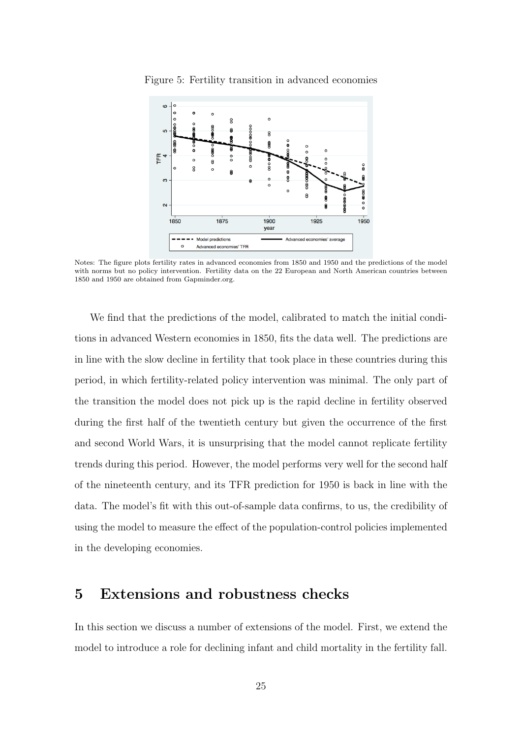

<span id="page-24-1"></span>Figure 5: Fertility transition in advanced economies

Notes: The figure plots fertility rates in advanced economies from 1850 and 1950 and the predictions of the model with norms but no policy intervention. Fertility data on the 22 European and North American countries between 1850 and 1950 are obtained from Gapminder.org.

We find that the predictions of the model, calibrated to match the initial conditions in advanced Western economies in 1850, fits the data well. The predictions are in line with the slow decline in fertility that took place in these countries during this period, in which fertility-related policy intervention was minimal. The only part of the transition the model does not pick up is the rapid decline in fertility observed during the first half of the twentieth century but given the occurrence of the first and second World Wars, it is unsurprising that the model cannot replicate fertility trends during this period. However, the model performs very well for the second half of the nineteenth century, and its TFR prediction for 1950 is back in line with the data. The model's fit with this out-of-sample data confirms, to us, the credibility of using the model to measure the effect of the population-control policies implemented in the developing economies.

# <span id="page-24-0"></span>5 Extensions and robustness checks

In this section we discuss a number of extensions of the model. First, we extend the model to introduce a role for declining infant and child mortality in the fertility fall.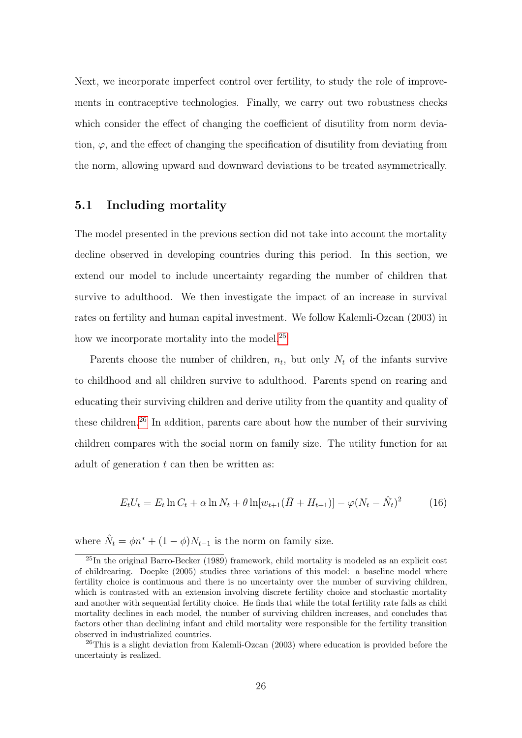Next, we incorporate imperfect control over fertility, to study the role of improvements in contraceptive technologies. Finally, we carry out two robustness checks which consider the effect of changing the coefficient of disutility from norm deviation,  $\varphi$ , and the effect of changing the specification of disutility from deviating from the norm, allowing upward and downward deviations to be treated asymmetrically.

## 5.1 Including mortality

The model presented in the previous section did not take into account the mortality decline observed in developing countries during this period. In this section, we extend our model to include uncertainty regarding the number of children that survive to adulthood. We then investigate the impact of an increase in survival rates on fertility and human capital investment. We follow Kalemli-Ozcan (2003) in how we incorporate mortality into the model.<sup>[25](#page-25-0)</sup>

Parents choose the number of children,  $n_t$ , but only  $N_t$  of the infants survive to childhood and all children survive to adulthood. Parents spend on rearing and educating their surviving children and derive utility from the quantity and quality of these children.<sup>[26](#page-25-1)</sup> In addition, parents care about how the number of their surviving children compares with the social norm on family size. The utility function for an adult of generation  $t$  can then be written as:

$$
E_t U_t = E_t \ln C_t + \alpha \ln N_t + \theta \ln[w_{t+1}(\bar{H} + H_{t+1})] - \varphi (N_t - \hat{N}_t)^2
$$
 (16)

where  $\hat{N}_t = \phi n^* + (1 - \phi) N_{t-1}$  is the norm on family size.

<span id="page-25-0"></span> $^{25}$ In the original Barro-Becker (1989) framework, child mortality is modeled as an explicit cost of childrearing. Doepke (2005) studies three variations of this model: a baseline model where fertility choice is continuous and there is no uncertainty over the number of surviving children, which is contrasted with an extension involving discrete fertility choice and stochastic mortality and another with sequential fertility choice. He finds that while the total fertility rate falls as child mortality declines in each model, the number of surviving children increases, and concludes that factors other than declining infant and child mortality were responsible for the fertility transition observed in industrialized countries.

<span id="page-25-1"></span><sup>&</sup>lt;sup>26</sup>This is a slight deviation from Kalemli-Ozcan (2003) where education is provided before the uncertainty is realized.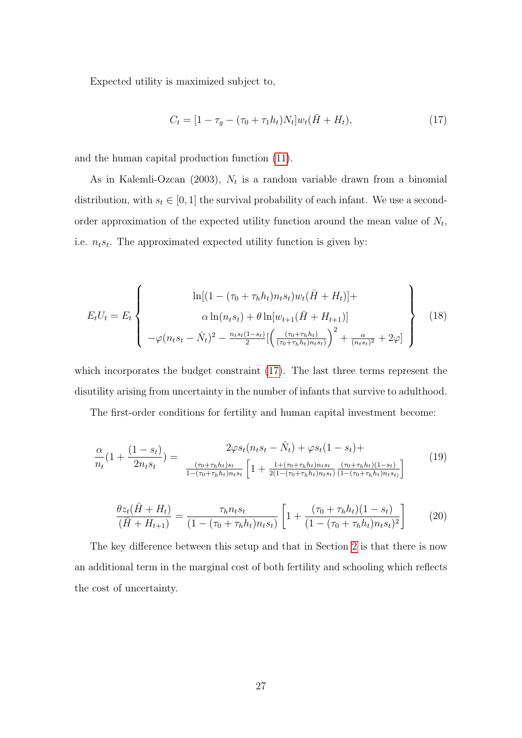Expected utility is maximized subject to,

<span id="page-26-0"></span>
$$
C_t = [1 - \tau_g - (\tau_0 + \tau_1 h_t) N_t] w_t (\bar{H} + H_t), \qquad (17)
$$

and the human capital production function [\(11\)](#page-9-0).

As in Kalemli-Ozcan (2003),  $N_t$  is a random variable drawn from a binomial distribution, with  $s_t \in [0, 1]$  the survival probability of each infant. We use a secondorder approximation of the expected utility function around the mean value of  $N_t$ , i.e.  $n_t s_t$ . The approximated expected utility function is given by:

$$
E_t U_t = E_t \left\{ \begin{array}{c} \ln[(1 - (\tau_0 + \tau_h h_t) n_t s_t) w_t (\bar{H} + H_t)] + \\ \alpha \ln(n_t s_t) + \theta \ln[w_{t+1} (\bar{H} + H_{t+1})] \\ -\varphi(n_t s_t - \hat{N}_t)^2 - \frac{n_t s_t (1 - s_t)}{2} [\left(\frac{(\tau_0 + \tau_h h_t)}{(\tau_0 + \tau_h h_t) n_t s_t)}\right)^2 + \frac{\alpha}{(n_t s_t)^2} + 2\varphi] \end{array} \right\}
$$
(18)

which incorporates the budget constraint [\(17\)](#page-26-0). The last three terms represent the disutility arising from uncertainty in the number of infants that survive to adulthood.

The first-order conditions for fertility and human capital investment become:

$$
\frac{\alpha}{n_t}(1 + \frac{(1 - s_t)}{2n_ts_t}) = \frac{2\varphi s_t(n_ts_t - \hat{N}_t) + \varphi s_t(1 - s_t) + \frac{(\tau_0 + \tau_h h_t)s_t}{1 - (\tau_0 + \tau_h h_t)n_ts_t} \left[1 + \frac{1 + (\tau_0 + \tau_h h_t)n_ts_t}{2(1 - (\tau_0 + \tau_h h_t)n_ts_t)} \frac{(\tau_0 + \tau_h h_t)(1 - s_t)}{(1 - (\tau_0 + \tau_h h_t)n_ts_t)}\right] \tag{19}
$$

<span id="page-26-1"></span>
$$
\frac{\theta z_t(\bar{H} + H_t)}{(\bar{H} + H_{t+1})} = \frac{\tau_h n_t s_t}{(1 - (\tau_0 + \tau_h h_t) n_t s_t)} \left[ 1 + \frac{(\tau_0 + \tau_h h_t)(1 - s_t)}{(1 - (\tau_0 + \tau_h h_t) n_t s_t)^2} \right]
$$
(20)

The key difference between this setup and that in Section [2](#page-6-0) is that there is now an additional term in the marginal cost of both fertility and schooling which reflects the cost of uncertainty.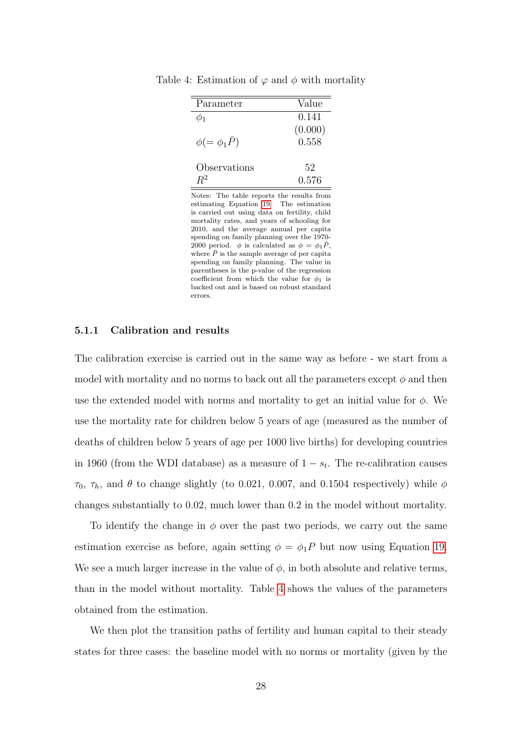| Parameter                | Value   |
|--------------------------|---------|
|                          | 0.141   |
|                          | (0.000) |
| $\phi (=\phi_1 \bar{P})$ | 0.558   |
| Observations             | 52      |
|                          | 0.576   |

<span id="page-27-0"></span>Table 4: Estimation of  $\varphi$  and  $\phi$  with mortality

Notes: The table reports the results from estimating Equation [19.](#page-26-1) The estimation is carried out using data on fertility, child mortality rates, and years of schooling for 2010, and the average annual per capita spending on family planning over the 1970- 2000 period.  $\phi$  is calculated as  $\phi = \phi_1 \bar{P}$ . where  $\bar{P}$  is the sample average of per capita spending on family planning. The value in parentheses is the p-value of the regression coefficient from which the value for  $\phi_1$  is backed out and is based on robust standard errors.

#### 5.1.1 Calibration and results

The calibration exercise is carried out in the same way as before - we start from a model with mortality and no norms to back out all the parameters except  $\phi$  and then use the extended model with norms and mortality to get an initial value for  $\phi$ . We use the mortality rate for children below 5 years of age (measured as the number of deaths of children below 5 years of age per 1000 live births) for developing countries in 1960 (from the WDI database) as a measure of  $1 - s_t$ . The re-calibration causes  $\tau_0$ ,  $\tau_h$ , and  $\theta$  to change slightly (to 0.021, 0.007, and 0.1504 respectively) while  $\phi$ changes substantially to 0.02, much lower than 0.2 in the model without mortality.

To identify the change in  $\phi$  over the past two periods, we carry out the same estimation exercise as before, again setting  $\phi = \phi_1 P$  but now using Equation [19.](#page-26-1) We see a much larger increase in the value of  $\phi$ , in both absolute and relative terms, than in the model without mortality. Table [4](#page-27-0) shows the values of the parameters obtained from the estimation.

We then plot the transition paths of fertility and human capital to their steady states for three cases: the baseline model with no norms or mortality (given by the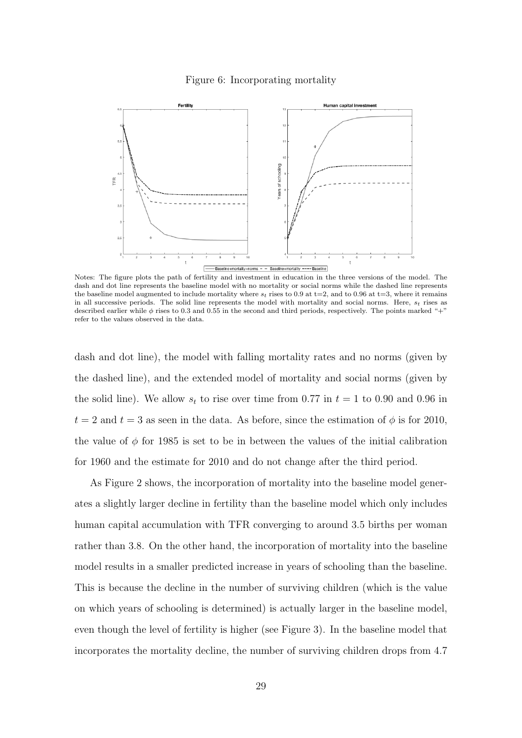#### Figure 6: Incorporating mortality



Notes: The figure plots the path of fertility and investment in education in the three versions of the model. The dash and dot line represents the baseline model with no mortality or social norms while the dashed line represents the baseline model augmented to include mortality where  $s_t$  rises to 0.9 at t=2, and to 0.96 at t=3, where it remains in all successive periods. The solid line represents the model with mortality and social norms. Here,  $s_t$  rises as described earlier while  $\phi$  rises to 0.3 and 0.55 in the second and third periods, respectively. The points marked "+" refer to the values observed in the data.

dash and dot line), the model with falling mortality rates and no norms (given by the dashed line), and the extended model of mortality and social norms (given by the solid line). We allow  $s_t$  to rise over time from 0.77 in  $t = 1$  to 0.90 and 0.96 in  $t = 2$  and  $t = 3$  as seen in the data. As before, since the estimation of  $\phi$  is for 2010, the value of  $\phi$  for 1985 is set to be in between the values of the initial calibration for 1960 and the estimate for 2010 and do not change after the third period.

As Figure 2 shows, the incorporation of mortality into the baseline model generates a slightly larger decline in fertility than the baseline model which only includes human capital accumulation with TFR converging to around 3.5 births per woman rather than 3.8. On the other hand, the incorporation of mortality into the baseline model results in a smaller predicted increase in years of schooling than the baseline. This is because the decline in the number of surviving children (which is the value on which years of schooling is determined) is actually larger in the baseline model, even though the level of fertility is higher (see Figure 3). In the baseline model that incorporates the mortality decline, the number of surviving children drops from 4.7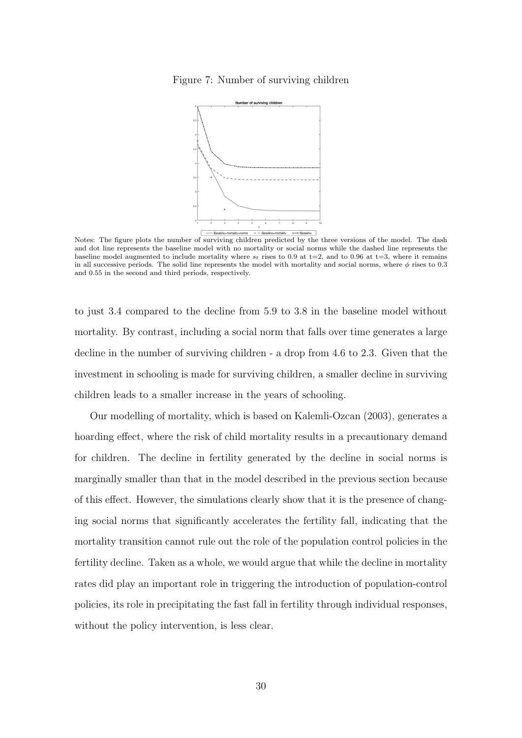#### Figure 7: Number of surviving children



Notes: The figure plots the number of surviving children predicted by the three versions of the model. The dash and dot line represents the baseline model with no mortality or social norms while the dashed line represents the baseline model augmented to include mortality where  $s_t$  rises to 0.9 at t=2, and to 0.96 at t=3, where it remains in all successive periods. The solid line represents the model with mortality and social norms, where  $\phi$  rises to 0.3 and 0.55 in the second and third periods, respectively.

to just 3.4 compared to the decline from 5.9 to 3.8 in the baseline model without mortality. By contrast, including a social norm that falls over time generates a large decline in the number of surviving children - a drop from 4.6 to 2.3. Given that the investment in schooling is made for surviving children, a smaller decline in surviving children leads to a smaller increase in the years of schooling.

Our modelling of mortality, which is based on Kalemli-Ozcan (2003), generates a hoarding effect, where the risk of child mortality results in a precautionary demand for children. The decline in fertility generated by the decline in social norms is marginally smaller than that in the model described in the previous section because of this effect. However, the simulations clearly show that it is the presence of changing social norms that significantly accelerates the fertility fall, indicating that the mortality transition cannot rule out the role of the population control policies in the fertility decline. Taken as a whole, we would argue that while the decline in mortality rates did play an important role in triggering the introduction of population-control policies, its role in precipitating the fast fall in fertility through individual responses, without the policy intervention, is less clear.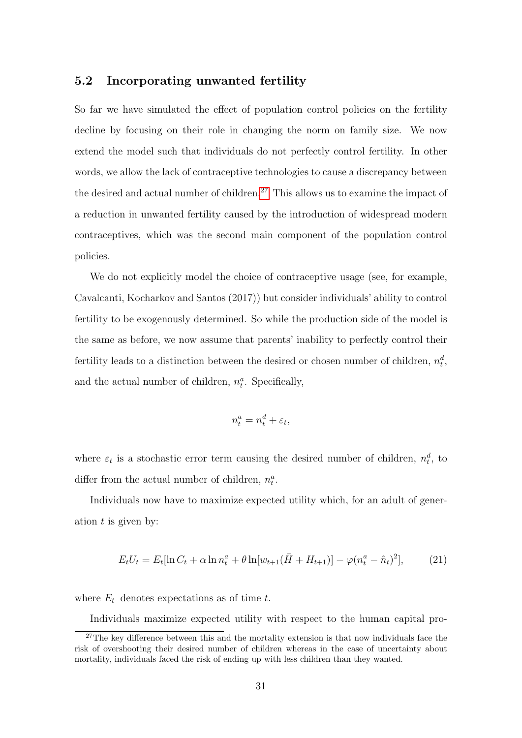## 5.2 Incorporating unwanted fertility

So far we have simulated the effect of population control policies on the fertility decline by focusing on their role in changing the norm on family size. We now extend the model such that individuals do not perfectly control fertility. In other words, we allow the lack of contraceptive technologies to cause a discrepancy between the desired and actual number of children.<sup>[27](#page-30-0)</sup> This allows us to examine the impact of a reduction in unwanted fertility caused by the introduction of widespread modern contraceptives, which was the second main component of the population control policies.

We do not explicitly model the choice of contraceptive usage (see, for example, Cavalcanti, Kocharkov and Santos (2017)) but consider individuals' ability to control fertility to be exogenously determined. So while the production side of the model is the same as before, we now assume that parents' inability to perfectly control their fertility leads to a distinction between the desired or chosen number of children,  $n_t^d$ , and the actual number of children,  $n_t^a$ . Specifically,

$$
n_t^a = n_t^d + \varepsilon_t,
$$

where  $\varepsilon_t$  is a stochastic error term causing the desired number of children,  $n_t^d$ , to differ from the actual number of children,  $n_t^a$ .

Individuals now have to maximize expected utility which, for an adult of generation  $t$  is given by:

$$
E_t U_t = E_t [\ln C_t + \alpha \ln n_t^a + \theta \ln [w_{t+1}(\bar{H} + H_{t+1})] - \varphi (n_t^a - \hat{n}_t)^2], \tag{21}
$$

where  $E_t$  denotes expectations as of time t.

<span id="page-30-0"></span>Individuals maximize expected utility with respect to the human capital pro-

 $27$ The key difference between this and the mortality extension is that now individuals face the risk of overshooting their desired number of children whereas in the case of uncertainty about mortality, individuals faced the risk of ending up with less children than they wanted.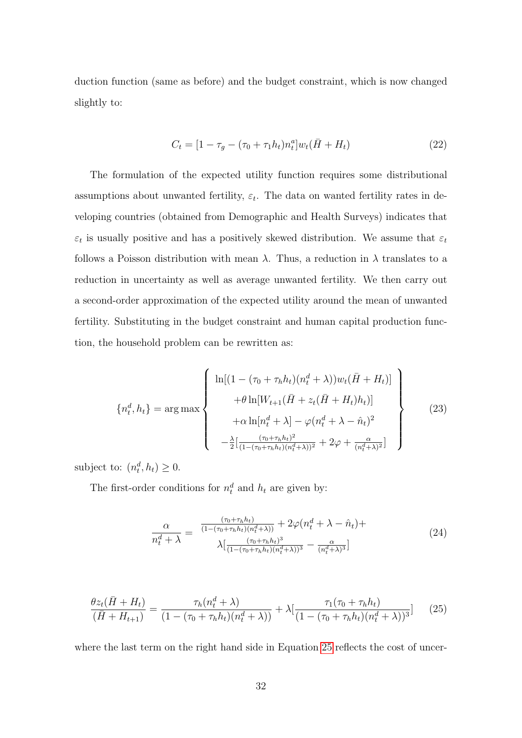duction function (same as before) and the budget constraint, which is now changed slightly to:

$$
C_t = [1 - \tau_g - (\tau_0 + \tau_1 h_t) n_t^a] w_t (\bar{H} + H_t)
$$
\n(22)

The formulation of the expected utility function requires some distributional assumptions about unwanted fertility,  $\varepsilon_t$ . The data on wanted fertility rates in developing countries (obtained from Demographic and Health Surveys) indicates that  $\varepsilon_t$  is usually positive and has a positively skewed distribution. We assume that  $\varepsilon_t$ follows a Poisson distribution with mean  $\lambda$ . Thus, a reduction in  $\lambda$  translates to a reduction in uncertainty as well as average unwanted fertility. We then carry out a second-order approximation of the expected utility around the mean of unwanted fertility. Substituting in the budget constraint and human capital production function, the household problem can be rewritten as:

$$
\left\{ n_t^d, h_t \right\} = \arg \max \left\{ \begin{array}{c} \ln[(1 - (\tau_0 + \tau_h h_t)(n_t^d + \lambda))w_t(\bar{H} + H_t)] \\ + \theta \ln[W_{t+1}(\bar{H} + z_t(\bar{H} + H_t)h_t)] \\ + \alpha \ln[n_t^d + \lambda] - \varphi(n_t^d + \lambda - \hat{n}_t)^2 \\ -\frac{\lambda}{2} \left[ \frac{(\tau_0 + \tau_h h_t)^2}{(1 - (\tau_0 + \tau_h h_t)(n_t^d + \lambda))^2} + 2\varphi + \frac{\alpha}{(n_t^d + \lambda)^2} \right] \end{array} \right\}
$$
(23)

subject to:  $(n_t^d, h_t) \geq 0$ .

The first-order conditions for  $n_t^d$  and  $h_t$  are given by:

<span id="page-31-1"></span>
$$
\frac{\alpha}{n_t^d + \lambda} = \frac{\frac{(\tau_0 + \tau_h h_t)}{(1 - (\tau_0 + \tau_h h_t)(n_t^d + \lambda))} + 2\varphi(n_t^d + \lambda - \hat{n}_t) +}{\lambda \left[ \frac{(\tau_0 + \tau_h h_t)^3}{(1 - (\tau_0 + \tau_h h_t)(n_t^d + \lambda))^3} - \frac{\alpha}{(n_t^d + \lambda)^3} \right]}
$$
(24)

<span id="page-31-0"></span>
$$
\frac{\theta z_t(\bar{H} + H_t)}{(\bar{H} + H_{t+1})} = \frac{\tau_h(n_t^d + \lambda)}{(1 - (\tau_0 + \tau_h h_t)(n_t^d + \lambda))} + \lambda \left[ \frac{\tau_1(\tau_0 + \tau_h h_t)}{(1 - (\tau_0 + \tau_h h_t)(n_t^d + \lambda))^3} \right] \tag{25}
$$

where the last term on the right hand side in Equation [25](#page-31-0) reflects the cost of uncer-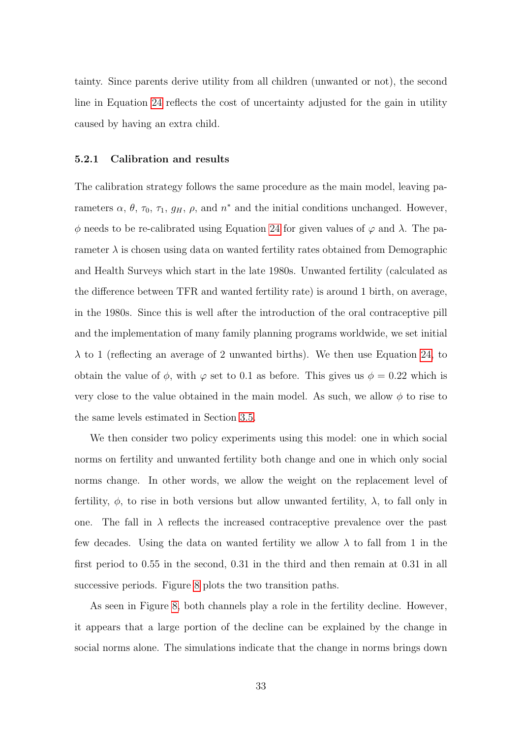tainty. Since parents derive utility from all children (unwanted or not), the second line in Equation [24](#page-31-1) reflects the cost of uncertainty adjusted for the gain in utility caused by having an extra child.

#### 5.2.1 Calibration and results

The calibration strategy follows the same procedure as the main model, leaving parameters  $\alpha$ ,  $\theta$ ,  $\tau_0$ ,  $\tau_1$ ,  $g_H$ ,  $\rho$ , and  $n^*$  and the initial conditions unchanged. However,  $\phi$  needs to be re-calibrated using Equation [24](#page-31-1) for given values of  $\varphi$  and λ. The parameter  $\lambda$  is chosen using data on wanted fertility rates obtained from Demographic and Health Surveys which start in the late 1980s. Unwanted fertility (calculated as the difference between TFR and wanted fertility rate) is around 1 birth, on average, in the 1980s. Since this is well after the introduction of the oral contraceptive pill and the implementation of many family planning programs worldwide, we set initial  $\lambda$  to 1 (reflecting an average of 2 unwanted births). We then use Equation [24,](#page-31-1) to obtain the value of  $\phi$ , with  $\varphi$  set to 0.1 as before. This gives us  $\phi = 0.22$  which is very close to the value obtained in the main model. As such, we allow  $\phi$  to rise to the same levels estimated in Section [3.5.](#page-14-1)

We then consider two policy experiments using this model: one in which social norms on fertility and unwanted fertility both change and one in which only social norms change. In other words, we allow the weight on the replacement level of fertility,  $\phi$ , to rise in both versions but allow unwanted fertility,  $\lambda$ , to fall only in one. The fall in  $\lambda$  reflects the increased contraceptive prevalence over the past few decades. Using the data on wanted fertility we allow  $\lambda$  to fall from 1 in the first period to 0.55 in the second, 0.31 in the third and then remain at 0.31 in all successive periods. Figure [8](#page-33-0) plots the two transition paths.

As seen in Figure [8,](#page-33-0) both channels play a role in the fertility decline. However, it appears that a large portion of the decline can be explained by the change in social norms alone. The simulations indicate that the change in norms brings down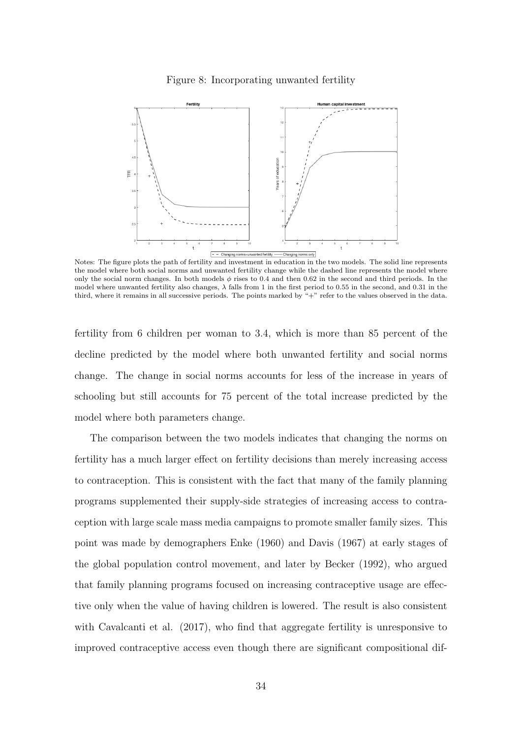#### Figure 8: Incorporating unwanted fertility

<span id="page-33-0"></span>

Notes: The figure plots the path of fertility and investment in education in the two models. The solid line represents the model where both social norms and unwanted fertility change while the dashed line represents the model where only the social norm changes. In both models  $\phi$  rises to 0.4 and then 0.62 in the second and third periods. In the model where unwanted fertility also changes,  $\lambda$  falls from 1 in the first period to 0.55 in the second, and 0.31 in the third, where it remains in all successive periods. The points marked by "+" refer to the values observed in the data.

fertility from 6 children per woman to 3.4, which is more than 85 percent of the decline predicted by the model where both unwanted fertility and social norms change. The change in social norms accounts for less of the increase in years of schooling but still accounts for 75 percent of the total increase predicted by the model where both parameters change.

The comparison between the two models indicates that changing the norms on fertility has a much larger effect on fertility decisions than merely increasing access to contraception. This is consistent with the fact that many of the family planning programs supplemented their supply-side strategies of increasing access to contraception with large scale mass media campaigns to promote smaller family sizes. This point was made by demographers Enke (1960) and Davis (1967) at early stages of the global population control movement, and later by Becker (1992), who argued that family planning programs focused on increasing contraceptive usage are effective only when the value of having children is lowered. The result is also consistent with Cavalcanti et al. (2017), who find that aggregate fertility is unresponsive to improved contraceptive access even though there are significant compositional dif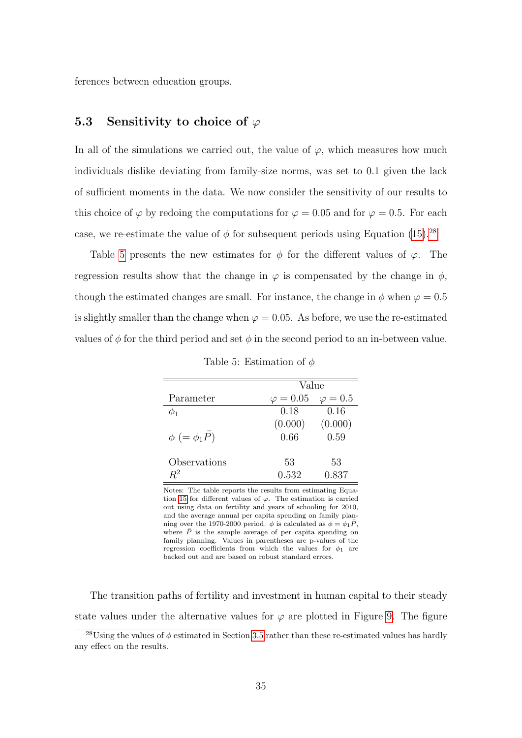ferences between education groups.

# 5.3 Sensitivity to choice of  $\varphi$

In all of the simulations we carried out, the value of  $\varphi$ , which measures how much individuals dislike deviating from family-size norms, was set to 0.1 given the lack of sufficient moments in the data. We now consider the sensitivity of our results to this choice of  $\varphi$  by redoing the computations for  $\varphi = 0.05$  and for  $\varphi = 0.5$ . For each case, we re-estimate the value of  $\phi$  for subsequent periods using Equation [\(15\)](#page-16-1).<sup>[28](#page-34-0)</sup>

Table [5](#page-34-1) presents the new estimates for  $\phi$  for the different values of  $\varphi$ . The regression results show that the change in  $\varphi$  is compensated by the change in  $\phi$ , though the estimated changes are small. For instance, the change in  $\phi$  when  $\varphi = 0.5$ is slightly smaller than the change when  $\varphi = 0.05$ . As before, we use the re-estimated values of  $\phi$  for the third period and set  $\phi$  in the second period to an in-between value.

<span id="page-34-1"></span>

|                        | Value            |               |  |  |  |
|------------------------|------------------|---------------|--|--|--|
| Parameter              | $\varphi = 0.05$ | $\varphi=0.5$ |  |  |  |
|                        | 0.18             | 0.16          |  |  |  |
|                        | (0.000)          | (0.000)       |  |  |  |
| $\phi$ (= $\phi_1 P$ ) | 0.66             | 0.59          |  |  |  |
|                        |                  |               |  |  |  |
| Observations           | 53               | 53            |  |  |  |
| $R^2$                  | 0.532            | 0.837         |  |  |  |

Table 5: Estimation of  $\phi$ 

Notes: The table reports the results from estimating Equa-tion [15](#page-16-1) for different values of  $\varphi$ . The estimation is carried out using data on fertility and years of schooling for 2010, and the average annual per capita spending on family planning over the 1970-2000 period.  $\phi$  is calculated as  $\phi = \phi_1 \bar{P}$ , where  $\overline{P}$  is the sample average of per capita spending on family planning. Values in parentheses are p-values of the regression coefficients from which the values for  $\phi_1$  are backed out and are based on robust standard errors.

The transition paths of fertility and investment in human capital to their steady state values under the alternative values for  $\varphi$  are plotted in Figure [9.](#page-35-0) The figure

<span id="page-34-0"></span><sup>&</sup>lt;sup>28</sup>Using the values of  $\phi$  estimated in Section [3.5](#page-14-1) rather than these re-estimated values has hardly any effect on the results.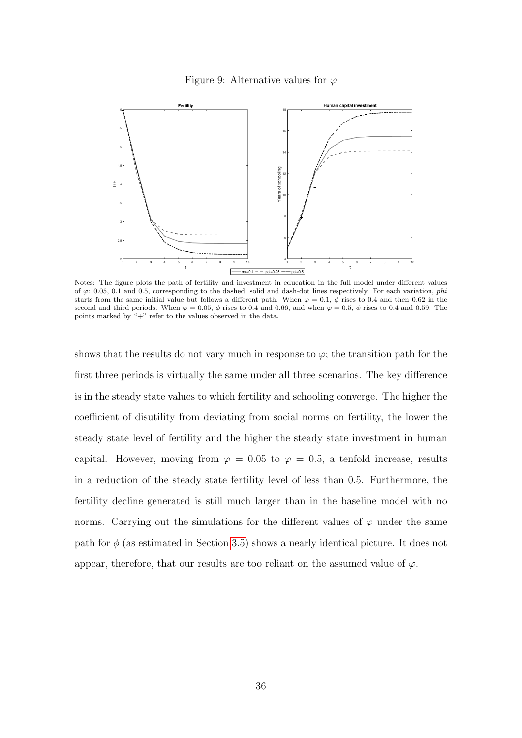#### Figure 9: Alternative values for  $\varphi$

<span id="page-35-0"></span>

Notes: The figure plots the path of fertility and investment in education in the full model under different values of  $\varphi$ : 0.05, 0.1 and 0.5, corresponding to the dashed, solid and dash-dot lines respectively. For each variation, phi starts from the same initial value but follows a different path. When  $\varphi = 0.1$ ,  $\phi$  rises to 0.4 and then 0.62 in the second and third periods. When  $\varphi = 0.05$ ,  $\phi$  rises to 0.4 and 0.66, and when  $\varphi = 0.5$ ,  $\phi$  rises to 0.4 and 0.59. The points marked by "+" refer to the values observed in the data.

shows that the results do not vary much in response to  $\varphi$ ; the transition path for the first three periods is virtually the same under all three scenarios. The key difference is in the steady state values to which fertility and schooling converge. The higher the coefficient of disutility from deviating from social norms on fertility, the lower the steady state level of fertility and the higher the steady state investment in human capital. However, moving from  $\varphi = 0.05$  to  $\varphi = 0.5$ , a tenfold increase, results in a reduction of the steady state fertility level of less than 0.5. Furthermore, the fertility decline generated is still much larger than in the baseline model with no norms. Carrying out the simulations for the different values of  $\varphi$  under the same path for  $\phi$  (as estimated in Section [3.5\)](#page-14-1) shows a nearly identical picture. It does not appear, therefore, that our results are too reliant on the assumed value of  $\varphi$ .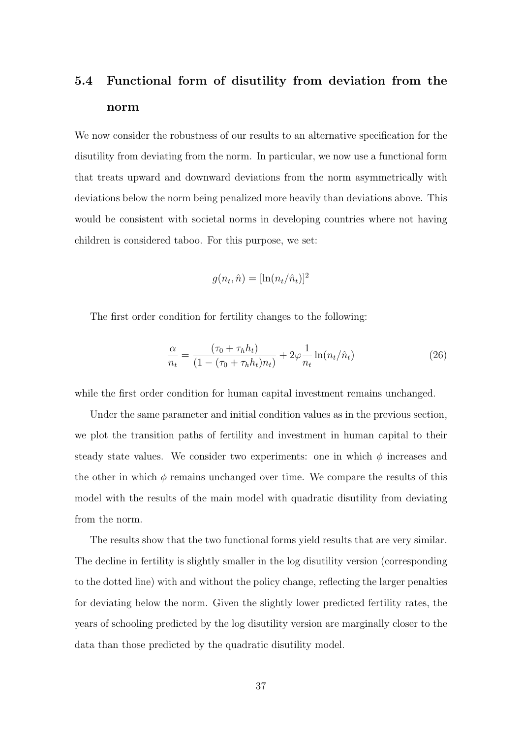# 5.4 Functional form of disutility from deviation from the norm

We now consider the robustness of our results to an alternative specification for the disutility from deviating from the norm. In particular, we now use a functional form that treats upward and downward deviations from the norm asymmetrically with deviations below the norm being penalized more heavily than deviations above. This would be consistent with societal norms in developing countries where not having children is considered taboo. For this purpose, we set:

$$
g(n_t, \hat{n}) = [\ln(n_t/\hat{n}_t)]^2
$$

The first order condition for fertility changes to the following:

$$
\frac{\alpha}{n_t} = \frac{(\tau_0 + \tau_h h_t)}{(1 - (\tau_0 + \tau_h h_t) n_t)} + 2\varphi \frac{1}{n_t} \ln(n_t/\hat{n}_t)
$$
(26)

while the first order condition for human capital investment remains unchanged.

Under the same parameter and initial condition values as in the previous section, we plot the transition paths of fertility and investment in human capital to their steady state values. We consider two experiments: one in which  $\phi$  increases and the other in which  $\phi$  remains unchanged over time. We compare the results of this model with the results of the main model with quadratic disutility from deviating from the norm.

The results show that the two functional forms yield results that are very similar. The decline in fertility is slightly smaller in the log disutility version (corresponding to the dotted line) with and without the policy change, reflecting the larger penalties for deviating below the norm. Given the slightly lower predicted fertility rates, the years of schooling predicted by the log disutility version are marginally closer to the data than those predicted by the quadratic disutility model.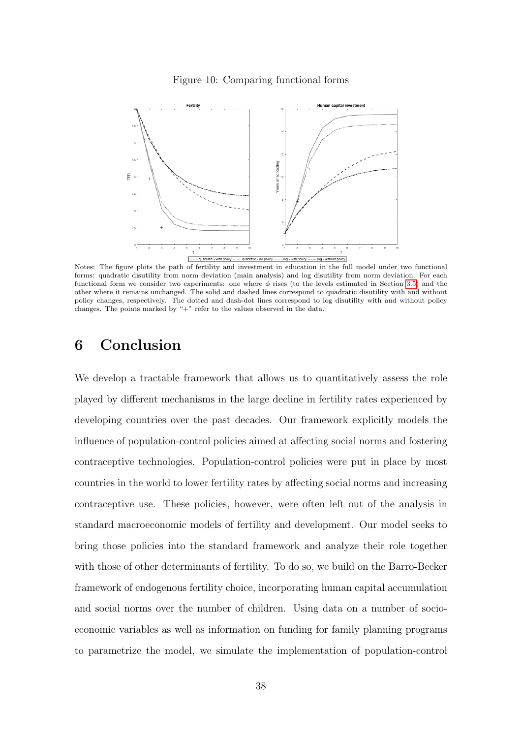



Notes: The figure plots the path of fertility and investment in education in the full model under two functional forms: quadratic disutility from norm deviation (main analysis) and log disutility from norm deviation. For each functional form we consider two experiments: one where  $\phi$  rises (to the levels estimated in Section [3.5\)](#page-14-1) and the other where it remains unchanged. The solid and dashed lines correspond to quadratic disutility with and without policy changes, respectively. The dotted and dash-dot lines correspond to log disutility with and without policy changes. The points marked by "+" refer to the values observed in the data.

# <span id="page-37-0"></span>6 Conclusion

We develop a tractable framework that allows us to quantitatively assess the role played by different mechanisms in the large decline in fertility rates experienced by developing countries over the past decades. Our framework explicitly models the influence of population-control policies aimed at affecting social norms and fostering contraceptive technologies. Population-control policies were put in place by most countries in the world to lower fertility rates by affecting social norms and increasing contraceptive use. These policies, however, were often left out of the analysis in standard macroeconomic models of fertility and development. Our model seeks to bring those policies into the standard framework and analyze their role together with those of other determinants of fertility. To do so, we build on the Barro-Becker framework of endogenous fertility choice, incorporating human capital accumulation and social norms over the number of children. Using data on a number of socioeconomic variables as well as information on funding for family planning programs to parametrize the model, we simulate the implementation of population-control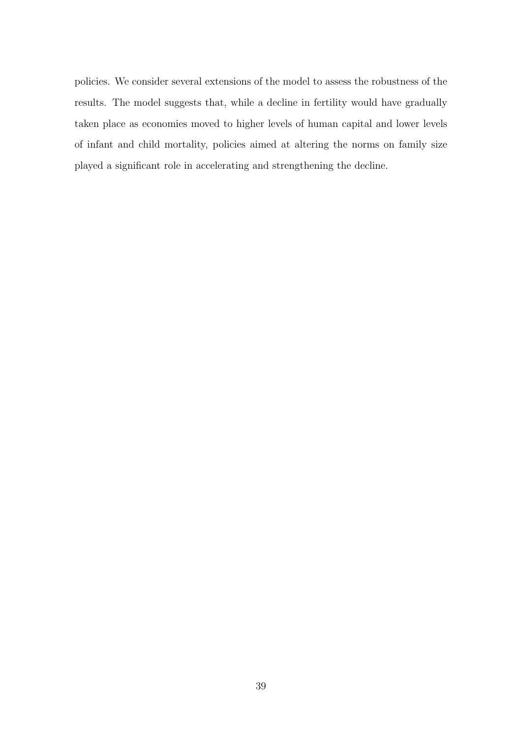policies. We consider several extensions of the model to assess the robustness of the results. The model suggests that, while a decline in fertility would have gradually taken place as economies moved to higher levels of human capital and lower levels of infant and child mortality, policies aimed at altering the norms on family size played a significant role in accelerating and strengthening the decline.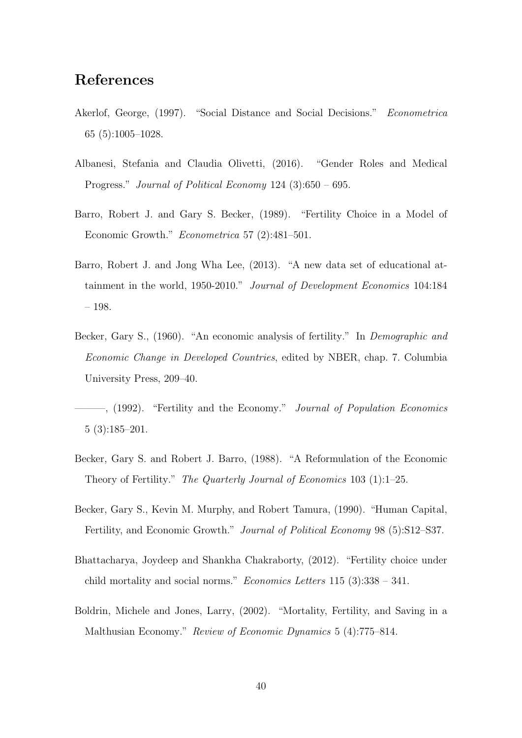# References

- Akerlof, George, (1997). "Social Distance and Social Decisions." Econometrica 65 (5):1005–1028.
- Albanesi, Stefania and Claudia Olivetti, (2016). "Gender Roles and Medical Progress." Journal of Political Economy 124 (3):650 – 695.
- Barro, Robert J. and Gary S. Becker, (1989). "Fertility Choice in a Model of Economic Growth." Econometrica 57 (2):481–501.
- Barro, Robert J. and Jong Wha Lee, (2013). "A new data set of educational attainment in the world, 1950-2010." Journal of Development Economics 104:184 – 198.
- Becker, Gary S., (1960). "An economic analysis of fertility." In *Demographic and* Economic Change in Developed Countries, edited by NBER, chap. 7. Columbia University Press, 209–40.

 $-$ , (1992). "Fertility and the Economy." Journal of Population Economics 5 (3):185–201.

- Becker, Gary S. and Robert J. Barro, (1988). "A Reformulation of the Economic Theory of Fertility." The Quarterly Journal of Economics 103 (1):1–25.
- Becker, Gary S., Kevin M. Murphy, and Robert Tamura, (1990). "Human Capital, Fertility, and Economic Growth." Journal of Political Economy 98 (5):S12–S37.
- Bhattacharya, Joydeep and Shankha Chakraborty, (2012). "Fertility choice under child mortality and social norms." Economics Letters 115 (3):338 – 341.
- Boldrin, Michele and Jones, Larry, (2002). "Mortality, Fertility, and Saving in a Malthusian Economy." Review of Economic Dynamics 5 (4):775–814.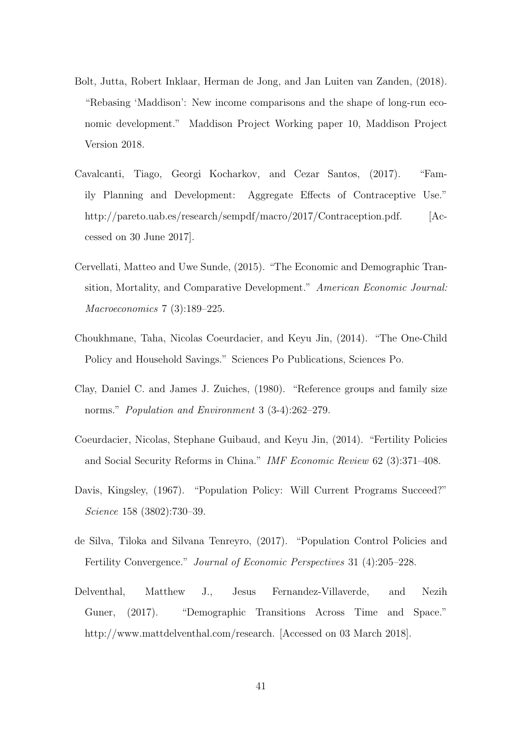- Bolt, Jutta, Robert Inklaar, Herman de Jong, and Jan Luiten van Zanden, (2018). "Rebasing 'Maddison': New income comparisons and the shape of long-run economic development." Maddison Project Working paper 10, Maddison Project Version 2018.
- Cavalcanti, Tiago, Georgi Kocharkov, and Cezar Santos, (2017). "Family Planning and Development: Aggregate Effects of Contraceptive Use." http://pareto.uab.es/research/sempdf/macro/2017/Contraception.pdf. [Accessed on 30 June 2017].
- Cervellati, Matteo and Uwe Sunde, (2015). "The Economic and Demographic Transition, Mortality, and Comparative Development." American Economic Journal: Macroeconomics 7 (3):189–225.
- Choukhmane, Taha, Nicolas Coeurdacier, and Keyu Jin, (2014). "The One-Child Policy and Household Savings." Sciences Po Publications, Sciences Po.
- Clay, Daniel C. and James J. Zuiches, (1980). "Reference groups and family size norms." *Population and Environment* 3 (3-4):262–279.
- Coeurdacier, Nicolas, Stephane Guibaud, and Keyu Jin, (2014). "Fertility Policies and Social Security Reforms in China." IMF Economic Review 62 (3):371–408.
- Davis, Kingsley, (1967). "Population Policy: Will Current Programs Succeed?" Science 158 (3802):730–39.
- de Silva, Tiloka and Silvana Tenreyro, (2017). "Population Control Policies and Fertility Convergence." Journal of Economic Perspectives 31 (4):205–228.
- Delventhal, Matthew J., Jesus Fernandez-Villaverde, and Nezih Guner, (2017). "Demographic Transitions Across Time and Space." http://www.mattdelventhal.com/research. [Accessed on 03 March 2018].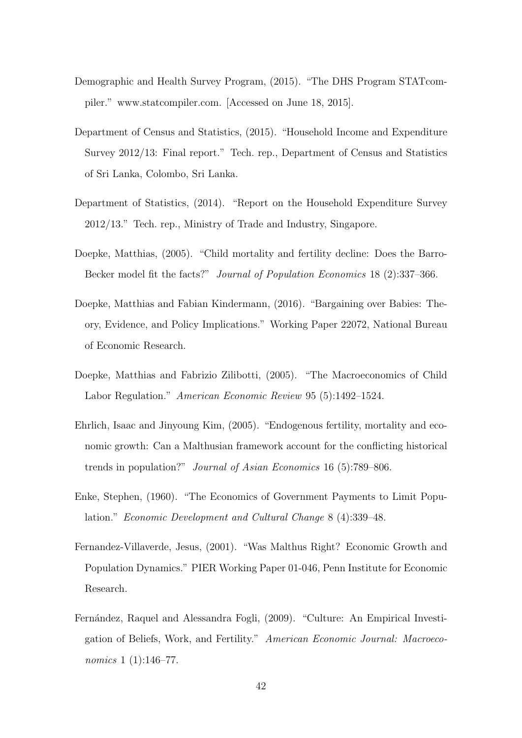- Demographic and Health Survey Program, (2015). "The DHS Program STATcompiler." www.statcompiler.com. [Accessed on June 18, 2015].
- Department of Census and Statistics, (2015). "Household Income and Expenditure Survey 2012/13: Final report." Tech. rep., Department of Census and Statistics of Sri Lanka, Colombo, Sri Lanka.
- Department of Statistics, (2014). "Report on the Household Expenditure Survey 2012/13." Tech. rep., Ministry of Trade and Industry, Singapore.
- Doepke, Matthias, (2005). "Child mortality and fertility decline: Does the Barro-Becker model fit the facts?" Journal of Population Economics 18 (2):337–366.
- Doepke, Matthias and Fabian Kindermann, (2016). "Bargaining over Babies: Theory, Evidence, and Policy Implications." Working Paper 22072, National Bureau of Economic Research.
- Doepke, Matthias and Fabrizio Zilibotti, (2005). "The Macroeconomics of Child Labor Regulation." American Economic Review 95 (5):1492–1524.
- Ehrlich, Isaac and Jinyoung Kim, (2005). "Endogenous fertility, mortality and economic growth: Can a Malthusian framework account for the conflicting historical trends in population?" Journal of Asian Economics 16 (5):789–806.
- Enke, Stephen, (1960). "The Economics of Government Payments to Limit Population." Economic Development and Cultural Change 8 (4):339–48.
- Fernandez-Villaverde, Jesus, (2001). "Was Malthus Right? Economic Growth and Population Dynamics." PIER Working Paper 01-046, Penn Institute for Economic Research.
- Fernández, Raquel and Alessandra Fogli, (2009). "Culture: An Empirical Investigation of Beliefs, Work, and Fertility." American Economic Journal: Macroeconomics 1 (1):146–77.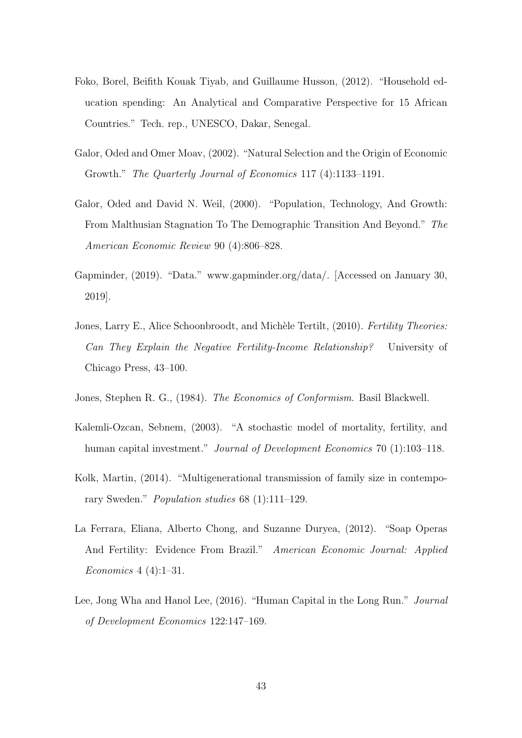- Foko, Borel, Beifith Kouak Tiyab, and Guillaume Husson, (2012). "Household education spending: An Analytical and Comparative Perspective for 15 African Countries." Tech. rep., UNESCO, Dakar, Senegal.
- Galor, Oded and Omer Moav, (2002). "Natural Selection and the Origin of Economic Growth." The Quarterly Journal of Economics 117 (4):1133–1191.
- Galor, Oded and David N. Weil, (2000). "Population, Technology, And Growth: From Malthusian Stagnation To The Demographic Transition And Beyond." The American Economic Review 90 (4):806–828.
- Gapminder, (2019). "Data." www.gapminder.org/data/. [Accessed on January 30, 2019].
- Jones, Larry E., Alice Schoonbroodt, and Michèle Tertilt, (2010). Fertility Theories: Can They Explain the Negative Fertility-Income Relationship? University of Chicago Press, 43–100.
- Jones, Stephen R. G., (1984). The Economics of Conformism. Basil Blackwell.
- Kalemli-Ozcan, Sebnem, (2003). "A stochastic model of mortality, fertility, and human capital investment." *Journal of Development Economics* 70 (1):103–118.
- Kolk, Martin, (2014). "Multigenerational transmission of family size in contemporary Sweden." Population studies 68 (1):111–129.
- La Ferrara, Eliana, Alberto Chong, and Suzanne Duryea, (2012). "Soap Operas And Fertility: Evidence From Brazil." American Economic Journal: Applied Economics 4 (4):1–31.
- Lee, Jong Wha and Hanol Lee, (2016). "Human Capital in the Long Run." Journal of Development Economics 122:147–169.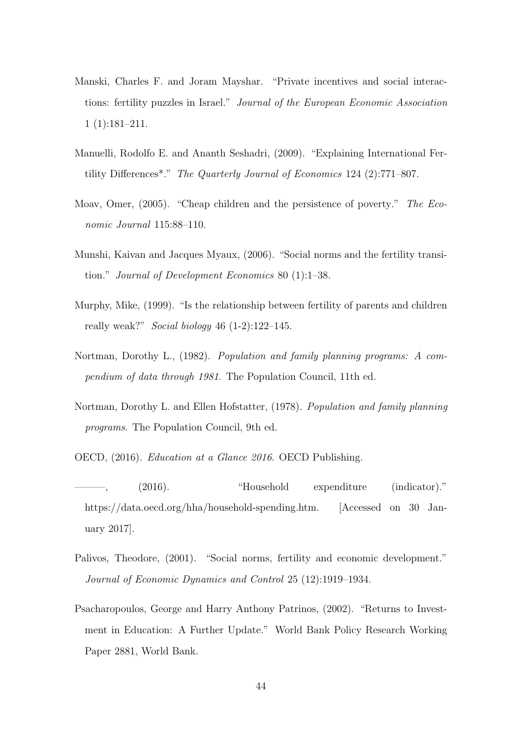- Manski, Charles F. and Joram Mayshar. "Private incentives and social interactions: fertility puzzles in Israel." Journal of the European Economic Association 1 (1):181–211.
- Manuelli, Rodolfo E. and Ananth Seshadri, (2009). "Explaining International Fertility Differences\*." The Quarterly Journal of Economics 124 (2):771–807.
- Moav, Omer, (2005). "Cheap children and the persistence of poverty." The Economic Journal 115:88–110.
- Munshi, Kaivan and Jacques Myaux, (2006). "Social norms and the fertility transition." Journal of Development Economics 80 (1):1–38.
- Murphy, Mike, (1999). "Is the relationship between fertility of parents and children really weak?" Social biology 46  $(1-2)$ :122–145.
- Nortman, Dorothy L., (1982). Population and family planning programs: A compendium of data through 1981. The Population Council, 11th ed.
- Nortman, Dorothy L. and Ellen Hofstatter, (1978). Population and family planning programs. The Population Council, 9th ed.
- OECD, (2016). Education at a Glance 2016. OECD Publishing.
- (2016). "Household expenditure (indicator)." https://data.oecd.org/hha/household-spending.htm. [Accessed on 30 January 2017].
- Palivos, Theodore, (2001). "Social norms, fertility and economic development." Journal of Economic Dynamics and Control 25 (12):1919–1934.
- Psacharopoulos, George and Harry Anthony Patrinos, (2002). "Returns to Investment in Education: A Further Update." World Bank Policy Research Working Paper 2881, World Bank.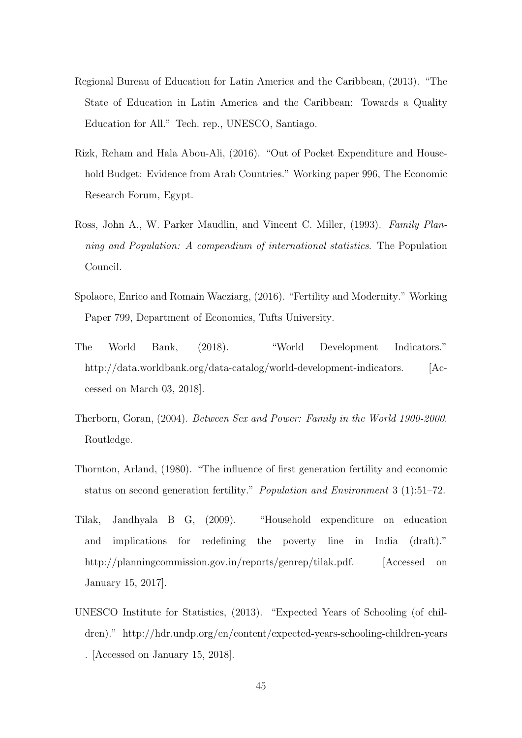- Regional Bureau of Education for Latin America and the Caribbean, (2013). "The State of Education in Latin America and the Caribbean: Towards a Quality Education for All." Tech. rep., UNESCO, Santiago.
- Rizk, Reham and Hala Abou-Ali, (2016). "Out of Pocket Expenditure and Household Budget: Evidence from Arab Countries." Working paper 996, The Economic Research Forum, Egypt.
- Ross, John A., W. Parker Maudlin, and Vincent C. Miller, (1993). Family Planning and Population: A compendium of international statistics. The Population Council.
- Spolaore, Enrico and Romain Wacziarg, (2016). "Fertility and Modernity." Working Paper 799, Department of Economics, Tufts University.
- The World Bank, (2018). "World Development Indicators." http://data.worldbank.org/data-catalog/world-development-indicators. [Accessed on March 03, 2018].
- Therborn, Goran, (2004). Between Sex and Power: Family in the World 1900-2000. Routledge.
- Thornton, Arland, (1980). "The influence of first generation fertility and economic status on second generation fertility." Population and Environment 3 (1):51–72.
- Tilak, Jandhyala B G, (2009). "Household expenditure on education and implications for redefining the poverty line in India (draft)." http://planningcommission.gov.in/reports/genrep/tilak.pdf. [Accessed on January 15, 2017].
- UNESCO Institute for Statistics, (2013). "Expected Years of Schooling (of children)." http://hdr.undp.org/en/content/expected-years-schooling-children-years . [Accessed on January 15, 2018].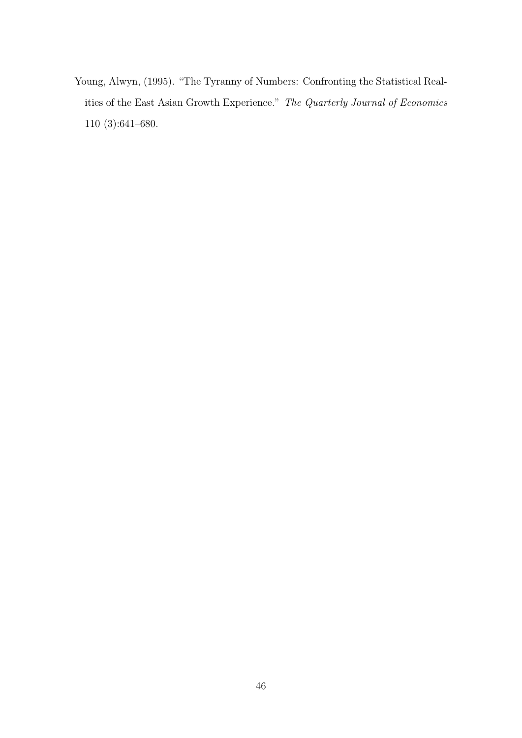Young, Alwyn, (1995). "The Tyranny of Numbers: Confronting the Statistical Realities of the East Asian Growth Experience." The Quarterly Journal of Economics 110 (3):641–680.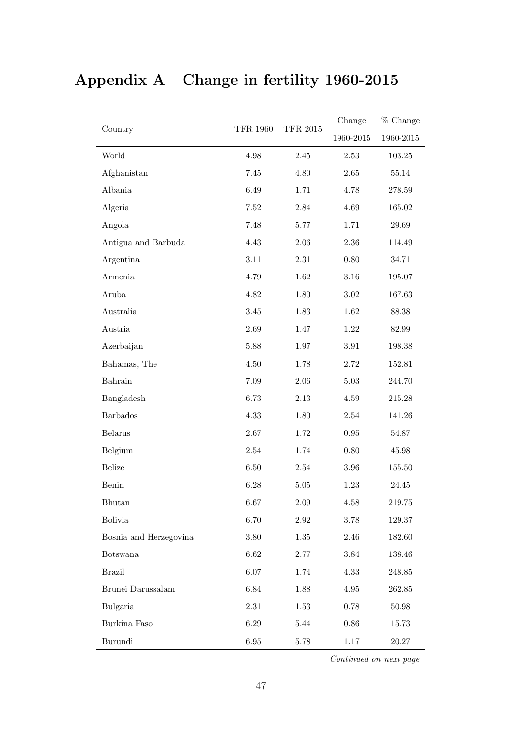# Appendix A Change in fertility 1960-2015

|                        |                 |                 | Change    | % Change   |
|------------------------|-----------------|-----------------|-----------|------------|
| Country                | <b>TFR 1960</b> | <b>TFR 2015</b> | 1960-2015 | 1960-2015  |
| World                  | $4.98\,$        | 2.45            | $2.53\,$  | 103.25     |
| Afghanistan            | 7.45            | 4.80            | $2.65\,$  | 55.14      |
| Albania                | 6.49            | 1.71            | 4.78      | 278.59     |
| Algeria                | $7.52\,$        | 2.84            | 4.69      | 165.02     |
| Angola                 | 7.48            | $5.77\,$        | 1.71      | 29.69      |
| Antigua and Barbuda    | 4.43            | $2.06\,$        | $2.36\,$  | 114.49     |
| Argentina              | $3.11\,$        | $2.31\,$        | $0.80\,$  | 34.71      |
| Armenia                | 4.79            | 1.62            | $3.16\,$  | 195.07     |
| Aruba                  | 4.82            | 1.80            | $3.02\,$  | 167.63     |
| Australia              | $3.45\,$        | 1.83            | 1.62      | 88.38      |
| Austria                | 2.69            | 1.47            | $1.22\,$  | 82.99      |
| Azerbaijan             | 5.88            | $1.97\,$        | $3.91\,$  | 198.38     |
| Bahamas, The           | 4.50            | 1.78            | 2.72      | 152.81     |
| Bahrain                | 7.09            | 2.06            | $5.03\,$  | 244.70     |
| Bangladesh             | 6.73            | $2.13\,$        | 4.59      | $215.28\,$ |
| <b>Barbados</b>        | 4.33            | 1.80            | $2.54\,$  | 141.26     |
| <b>Belarus</b>         | $2.67\,$        | 1.72            | $0.95\,$  | 54.87      |
| Belgium                | 2.54            | 1.74            | $0.80\,$  | 45.98      |
| <b>Belize</b>          | 6.50            | 2.54            | $3.96\,$  | 155.50     |
| Benin                  | 6.28            | 5.05            | $1.23\,$  | 24.45      |
| Bhutan                 | $6.67\,$        | 2.09            | $4.58\,$  | 219.75     |
| <b>Bolivia</b>         | 6.70            | 2.92            | 3.78      | 129.37     |
| Bosnia and Herzegovina | $3.80\,$        | $1.35\,$        | 2.46      | 182.60     |
| <b>Botswana</b>        | $6.62\,$        | $2.77\,$        | 3.84      | 138.46     |
| <b>Brazil</b>          | 6.07            | 1.74            | 4.33      | 248.85     |
| Brunei Darussalam      | 6.84            | 1.88            | $4.95\,$  | 262.85     |
| Bulgaria               | $2.31\,$        | 1.53            | $0.78\,$  | 50.98      |
| Burkina Faso           | 6.29            | 5.44            | $0.86\,$  | 15.73      |
| Burundi                | $6.95\,$        | 5.78            | 1.17      | 20.27      |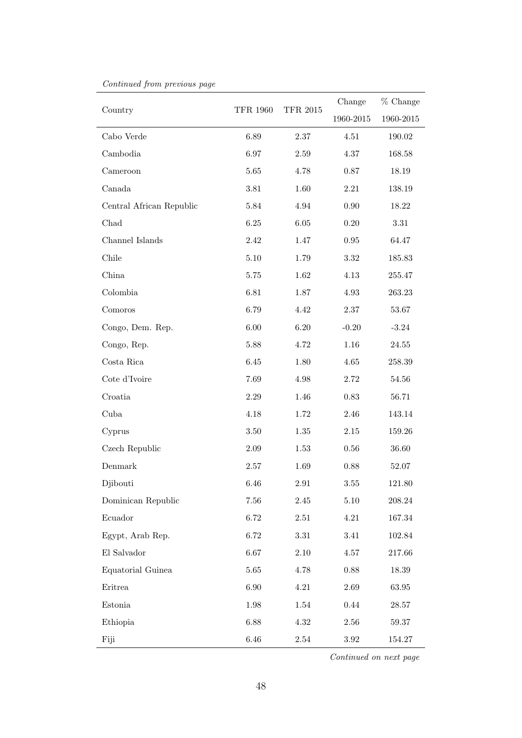|                                   | <b>TFR 1960</b> | <b>TFR 2015</b> | Change     | % Change   |
|-----------------------------------|-----------------|-----------------|------------|------------|
| Country                           |                 |                 | 1960-2015  | 1960-2015  |
| Cabo Verde                        | 6.89            | 2.37            | 4.51       | 190.02     |
| Cambodia                          | $6.97\,$        | 2.59            | 4.37       | 168.58     |
| Cameroon                          | 5.65            | 4.78            | 0.87       | 18.19      |
| Canada                            | $3.81\,$        | 1.60            | $2.21\,$   | 138.19     |
| Central African Republic          | $5.84\,$        | 4.94            | $0.90\,$   | 18.22      |
| Chad                              | 6.25            | $6.05\,$        | $0.20\,$   | $3.31\,$   |
| Channel Islands                   | 2.42            | 1.47            | $\rm 0.95$ | 64.47      |
| Chile                             | $5.10\,$        | 1.79            | 3.32       | 185.83     |
| China                             | 5.75            | 1.62            | 4.13       | 255.47     |
| Colombia                          | 6.81            | 1.87            | $4.93\,$   | 263.23     |
| Comoros                           | 6.79            | 4.42            | $2.37\,$   | 53.67      |
| Congo, Dem. Rep.                  | $6.00\,$        | 6.20            | $-0.20$    | $-3.24$    |
| Congo, Rep.                       | $5.88\,$        | 4.72            | $1.16\,$   | 24.55      |
| Costa Rica                        | 6.45            | 1.80            | $4.65\,$   | 258.39     |
| Cote d'Ivoire                     | 7.69            | 4.98            | 2.72       | 54.56      |
| Croatia                           | $2.29\,$        | 1.46            | 0.83       | 56.71      |
| Cuba                              | 4.18            | 1.72            | 2.46       | 143.14     |
| Cyprus                            | $3.50\,$        | $1.35\,$        | $2.15\,$   | 159.26     |
| Czech Republic                    | $2.09\,$        | 1.53            | $0.56\,$   | 36.60      |
| Denmark                           | 2.57            | 1.69            | 0.88       | 52.07      |
| Djibouti                          | $6.46\,$        | 2.91            | $3.55\,$   | 121.80     |
| Dominican Republic                | 7.56            | 2.45            | 5.10       | 208.24     |
| Ecuador                           | 6.72            | 2.51            | 4.21       | 167.34     |
| Egypt, Arab Rep.                  | 6.72            | $3.31\,$        | 3.41       | 102.84     |
| $\mathop{\hbox{\rm El}}$ Salvador | 6.67            | $2.10\,$        | $4.57\,$   | $217.66\,$ |
| Equatorial Guinea                 | $5.65\,$        | 4.78            | $0.88\,$   | 18.39      |
| Eritrea                           | 6.90            | 4.21            | 2.69       | $63.95\,$  |
| Estonia                           | 1.98            | 1.54            | $0.44\,$   | 28.57      |
| Ethiopia                          | 6.88            | 4.32            | 2.56       | 59.37      |
| Fiji                              | $6.46\,$        | $2.54\,$        | $3.92\,$   | 154.27     |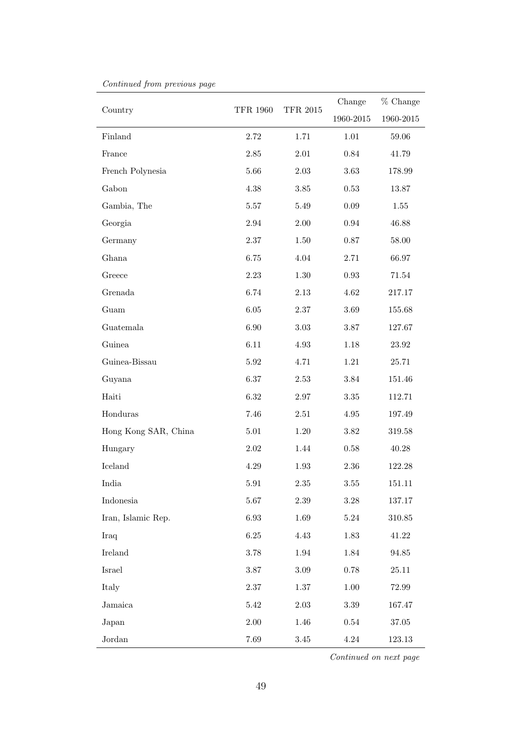| Country              | <b>TFR 1960</b> | <b>TFR 2015</b> | Change     | % Change   |
|----------------------|-----------------|-----------------|------------|------------|
|                      |                 |                 | 1960-2015  | 1960-2015  |
| Finland              | 2.72            | 1.71            | $1.01\,$   | 59.06      |
| France               | 2.85            | 2.01            | $0.84\,$   | 41.79      |
| French Polynesia     | 5.66            | $2.03\,$        | 3.63       | 178.99     |
| Gabon                | $4.38\,$        | $3.85\,$        | $0.53\,$   | 13.87      |
| Gambia, The          | $5.57\,$        | 5.49            | $0.09\,$   | 1.55       |
| Georgia              | 2.94            | $2.00\,$        | $\rm 0.94$ | 46.88      |
| Germany              | $2.37\,$        | $1.50\,$        | $0.87\,$   | 58.00      |
| Ghana                | 6.75            | 4.04            | 2.71       | 66.97      |
| Greece               | 2.23            | $1.30\,$        | $\rm 0.93$ | 71.54      |
| Grenada              | 6.74            | $2.13\,$        | 4.62       | 217.17     |
| Guam                 | $6.05\,$        | $2.37\,$        | $3.69\,$   | 155.68     |
| Guatemala            | 6.90            | $3.03\,$        | $3.87\,$   | 127.67     |
| Guinea               | $6.11\,$        | $4.93\,$        | $1.18\,$   | 23.92      |
| Guinea-Bissau        | $5.92\,$        | 4.71            | $1.21\,$   | 25.71      |
| Guyana               | 6.37            | $2.53\,$        | $3.84\,$   | 151.46     |
| Haiti                | 6.32            | $2.97\,$        | $3.35\,$   | 112.71     |
| Honduras             | 7.46            | $2.51\,$        | $4.95\,$   | 197.49     |
| Hong Kong SAR, China | $5.01\,$        | $1.20\,$        | $3.82\,$   | 319.58     |
| Hungary              | $2.02\,$        | 1.44            | $0.58\,$   | 40.28      |
| Iceland              | $4.29\,$        | 1.93            | $2.36\,$   | 122.28     |
| India                | 5.91            | $2.35\,$        | $3.55\,$   | 151.11     |
| Indonesia            | $5.67\,$        | 2.39            | $3.28\,$   | 137.17     |
| Iran, Islamic Rep.   | $6.93\,$        | 1.69            | $5.24\,$   | $310.85\,$ |
| Iraq                 | $6.25\,$        | 4.43            | 1.83       | 41.22      |
| Ireland              | $3.78\,$        | 1.94            | 1.84       | 94.85      |
| Israel               | $3.87\,$        | $3.09\,$        | $0.78\,$   | 25.11      |
| Italy                | 2.37            | 1.37            | $1.00\,$   | 72.99      |
| Jamaica              | $5.42\,$        | $2.03\,$        | $3.39\,$   | 167.47     |
| Japan                | $2.00\,$        | 1.46            | $0.54\,$   | 37.05      |
| Jordan               | 7.69            | $3.45\,$        | $4.24\,$   | $123.13\,$ |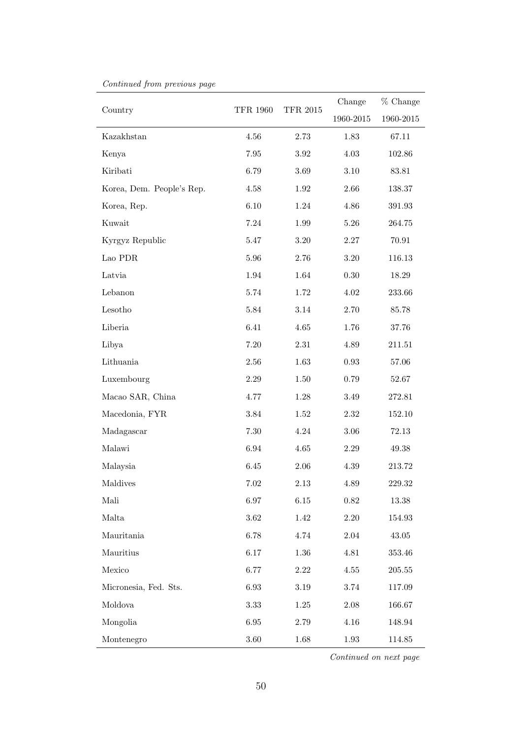| Country                   | <b>TFR 1960</b> | <b>TFR 2015</b> | Change    | % Change   |
|---------------------------|-----------------|-----------------|-----------|------------|
|                           |                 |                 | 1960-2015 | 1960-2015  |
| Kazakhstan                | 4.56            | 2.73            | 1.83      | $67.11\,$  |
| Kenya                     | $7.95\,$        | $3.92\,$        | 4.03      | 102.86     |
| Kiribati                  | 6.79            | 3.69            | 3.10      | 83.81      |
| Korea, Dem. People's Rep. | 4.58            | 1.92            | 2.66      | 138.37     |
| Korea, Rep.               | 6.10            | 1.24            | $4.86\,$  | 391.93     |
| Kuwait                    | 7.24            | 1.99            | $5.26\,$  | 264.75     |
| Kyrgyz Republic           | 5.47            | $3.20\,$        | $2.27\,$  | 70.91      |
| Lao PDR                   | 5.96            | 2.76            | $3.20\,$  | 116.13     |
| Latvia                    | 1.94            | 1.64            | $0.30\,$  | 18.29      |
| Lebanon                   | $5.74\,$        | 1.72            | $4.02\,$  | 233.66     |
| Lesotho                   | 5.84            | $3.14\,$        | 2.70      | 85.78      |
| Liberia                   | 6.41            | $4.65\,$        | 1.76      | 37.76      |
| Libya                     | $7.20\,$        | $2.31\,$        | 4.89      | 211.51     |
| Lithuania                 | 2.56            | 1.63            | $0.93\,$  | 57.06      |
| Luxembourg                | $2.29\,$        | 1.50            | 0.79      | 52.67      |
| Macao SAR, China          | 4.77            | 1.28            | 3.49      | $272.81\,$ |
| Macedonia, FYR            | 3.84            | 1.52            | $2.32\,$  | 152.10     |
| Madagascar                | 7.30            | $4.24\,$        | 3.06      | 72.13      |
| Malawi                    | $6.94\,$        | 4.65            | 2.29      | 49.38      |
| Malaysia                  | 6.45            | $2.06\,$        | 4.39      | 213.72     |
| Maldives                  | 7.02            | 2.13            | $4.89\,$  | 229.32     |
| Mali                      | 6.97            | 6.15            | 0.82      | 13.38      |
| Malta                     | 3.62            | 1.42            | $2.20\,$  | 154.93     |
| Mauritania                | 6.78            | 4.74            | $2.04\,$  | 43.05      |
| Mauritius                 | 6.17            | 1.36            | 4.81      | 353.46     |
| Mexico                    | 6.77            | $2.22\,$        | $4.55\,$  | 205.55     |
| Micronesia, Fed. Sts.     | 6.93            | $3.19\,$        | 3.74      | 117.09     |
| Moldova                   | 3.33            | $1.25\,$        | $2.08\,$  | 166.67     |
| Mongolia                  | 6.95            | 2.79            | $4.16\,$  | 148.94     |
| Montenegro                | $3.60\,$        | 1.68            | $1.93\,$  | 114.85     |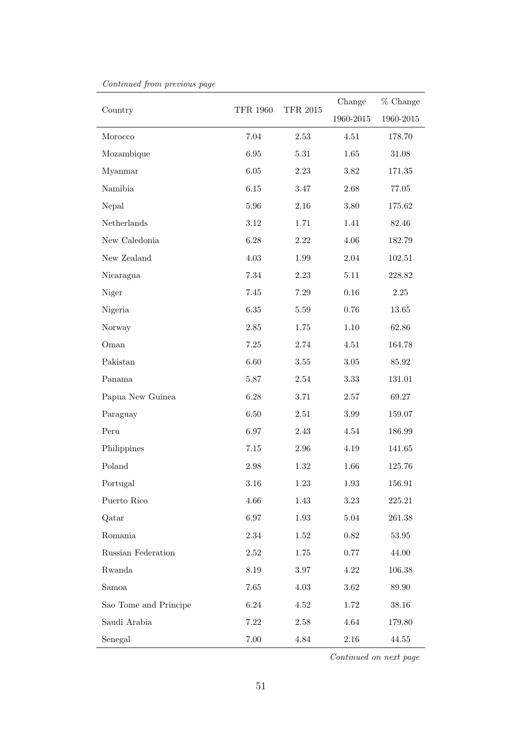|                       | <b>TFR 1960</b> | <b>TFR 2015</b> | Change    | % Change  |
|-----------------------|-----------------|-----------------|-----------|-----------|
| Country               |                 |                 | 1960-2015 | 1960-2015 |
| Morocco               | 7.04            | 2.53            | 4.51      | 178.70    |
| Mozambique            | 6.95            | 5.31            | 1.65      | 31.08     |
| Myanmar               | $6.05\,$        | $2.23\,$        | $3.82\,$  | 171.35    |
| Namibia               | $6.15\,$        | $3.47\,$        | $2.68\,$  | $77.05\,$ |
| Nepal                 | 5.96            | 2.16            | $3.80\,$  | 175.62    |
| ${\bf Netherlands}$   | 3.12            | 1.71            | 1.41      | 82.46     |
| New Caledonia         | 6.28            | $2.22\,$        | $4.06\,$  | 182.79    |
| New Zealand           | 4.03            | 1.99            | $2.04\,$  | 102.51    |
| Nicaragua             | 7.34            | 2.23            | $5.11\,$  | 228.82    |
| Niger                 | $7.45\,$        | $7.29\,$        | $0.16\,$  | $2.25\,$  |
| Nigeria               | 6.35            | 5.59            | 0.76      | 13.65     |
| Norway                | $2.85\,$        | 1.75            | $1.10\,$  | 62.86     |
| Oman                  | $7.25\,$        | $2.74\,$        | $4.51\,$  | 164.78    |
| Pakistan              | 6.60            | 3.55            | $3.05\,$  | 85.92     |
| Panama                | 5.87            | 2.54            | $3.33\,$  | 131.01    |
| Papua New Guinea      | 6.28            | 3.71            | $2.57\,$  | 69.27     |
| Paraguay              | 6.50            | 2.51            | $3.99\,$  | 159.07    |
| Peru                  | 6.97            | $2.43\,$        | $4.54\,$  | 186.99    |
| Philippines           | $7.15\,$        | 2.96            | $4.19\,$  | 141.65    |
| Poland                | $2.98\,$        | $1.32\,$        | 1.66      | 125.76    |
| Portugal              | $3.16\,$        | $1.23\,$        | $1.93\,$  | 156.91    |
| Puerto Rico           | 4.66            | 1.43            | 3.23      | 225.21    |
| Qatar                 | $6.97\,$        | 1.93            | 5.04      | 261.38    |
| Romania               | $2.34\,$        | 1.52            | $0.82\,$  | 53.95     |
| Russian Federation    | 2.52            | 1.75            | $0.77\,$  | 44.00     |
| Rwanda                | 8.19            | $3.97\,$        | 4.22      | 106.38    |
| Samoa                 | $7.65\,$        | 4.03            | $3.62\,$  | 89.90     |
| Sao Tome and Principe | $6.24\,$        | 4.52            | $1.72\,$  | 38.16     |
| Saudi Arabia          | 7.22            | $2.58\,$        | 4.64      | 179.80    |
| Senegal               | 7.00            | 4.84            | 2.16      | 44.55     |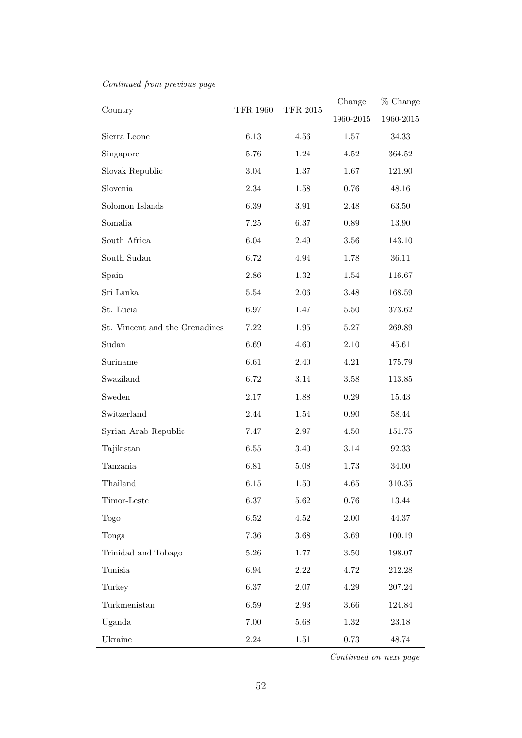| Country                        | <b>TFR 1960</b> | <b>TFR 2015</b> | Change    | % Change      |
|--------------------------------|-----------------|-----------------|-----------|---------------|
|                                |                 |                 | 1960-2015 | $1960 - 2015$ |
| Sierra Leone                   | $6.13\,$        | 4.56            | 1.57      | 34.33         |
| Singapore                      | 5.76            | 1.24            | 4.52      | 364.52        |
| Slovak Republic                | $3.04\,$        | $1.37\,$        | 1.67      | 121.90        |
| Slovenia                       | $2.34\,$        | 1.58            | $0.76\,$  | 48.16         |
| Solomon Islands                | $6.39\,$        | 3.91            | 2.48      | 63.50         |
| Somalia                        | $7.25\,$        | 6.37            | $0.89\,$  | 13.90         |
| South Africa                   | $6.04\,$        | $2.49\,$        | $3.56\,$  | 143.10        |
| South Sudan                    | 6.72            | 4.94            | 1.78      | 36.11         |
| Spain                          | $2.86\,$        | 1.32            | 1.54      | 116.67        |
| Sri Lanka                      | $5.54\,$        | $2.06\,$        | $3.48\,$  | 168.59        |
| St. Lucia                      | 6.97            | 1.47            | 5.50      | 373.62        |
| St. Vincent and the Grenadines | $7.22\,$        | 1.95            | $5.27\,$  | 269.89        |
| Sudan                          | 6.69            | 4.60            | $2.10\,$  | 45.61         |
| Suriname                       | 6.61            | 2.40            | 4.21      | 175.79        |
| Swaziland                      | 6.72            | 3.14            | $3.58\,$  | 113.85        |
| Sweden                         | $2.17\,$        | 1.88            | $0.29\,$  | 15.43         |
| Switzerland                    | 2.44            | 1.54            | $0.90\,$  | 58.44         |
| Syrian Arab Republic           | 7.47            | 2.97            | $4.50\,$  | 151.75        |
| Tajikistan                     | $6.55\,$        | 3.40            | 3.14      | 92.33         |
| Tanzania                       | 6.81            | 5.08            | 1.73      | 34.00         |
| Thailand                       | $6.15\,$        | 1.50            | $4.65\,$  | 310.35        |
| Timor-Leste                    | 6.37            | 5.62            | $0.76\,$  | 13.44         |
| <b>Togo</b>                    | $6.52\,$        | $4.52\,$        | $2.00\,$  | 44.37         |
| Tonga                          | 7.36            | 3.68            | $3.69\,$  | $100.19\,$    |
| Trinidad and Tobago            | $5.26\,$        | 1.77            | $3.50\,$  | 198.07        |
| Tunisia                        | $6.94\,$        | $2.22\,$        | 4.72      | 212.28        |
| Turkey                         | 6.37            | $2.07\,$        | $4.29\,$  | 207.24        |
| Turkmenistan                   | $6.59\,$        | $2.93\,$        | $3.66\,$  | 124.84        |
| Uganda                         | $7.00\,$        | 5.68            | $1.32\,$  | 23.18         |
| Ukraine                        | 2.24            | 1.51            | 0.73      | 48.74         |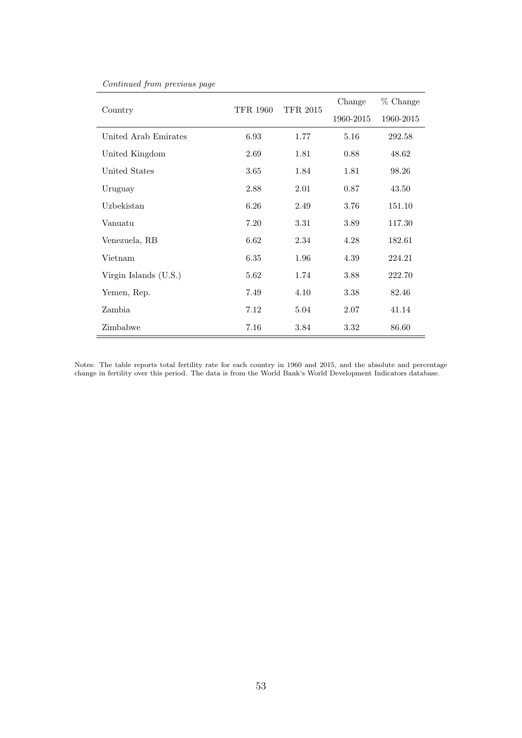|                         | TFR 1960 | <b>TFR 2015</b> | Change    | % Change  |
|-------------------------|----------|-----------------|-----------|-----------|
| Country                 |          |                 | 1960-2015 | 1960-2015 |
| United Arab Emirates    | 6.93     | 1.77            | 5.16      | 292.58    |
| United Kingdom          | 2.69     | 1.81            | 0.88      | 48.62     |
| United States           | 3.65     | 1.84            | 1.81      | 98.26     |
| Uruguay                 | 2.88     | 2.01            | 0.87      | 43.50     |
| Uzbekistan              | 6.26     | 2.49            | 3.76      | 151.10    |
| Vanuatu                 | 7.20     | 3.31            | 3.89      | 117.30    |
| Venezuela, RB           | 6.62     | 2.34            | 4.28      | 182.61    |
| Vietnam                 | 6.35     | 1.96            | 4.39      | 224.21    |
| Virgin Islands $(U.S.)$ | 5.62     | 1.74            | 3.88      | 222.70    |
| Yemen, Rep.             | 7.49     | 4.10            | 3.38      | 82.46     |
| Zambia                  | 7.12     | 5.04            | 2.07      | 41.14     |
| Zimbabwe                | 7.16     | 3.84            | 3.32      | 86.60     |

Notes: The table reports total fertility rate for each country in 1960 and 2015, and the absolute and percentage change in fertility over this period. The data is from the World Bank's World Development Indicators database.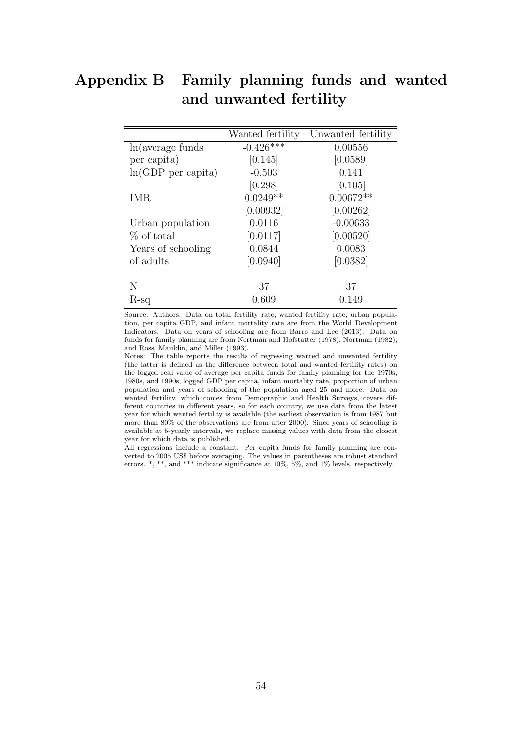# Appendix B Family planning funds and wanted and unwanted fertility

Source: Authors. Data on total fertility rate, wanted fertility rate, urban population, per capita GDP, and infant mortality rate are from the World Development Indicators. Data on years of schooling are from Barro and Lee (2013). Data on funds for family planning are from Nortman and Hofstatter (1978), Nortman (1982), and Ross, Mauldin, and Miller (1993).

Notes: The table reports the results of regressing wanted and unwanted fertility (the latter is defined as the difference between total and wanted fertility rates) on the logged real value of average per capita funds for family planning for the 1970s, 1980s, and 1990s, logged GDP per capita, infant mortality rate, proportion of urban population and years of schooling of the population aged 25 and more. Data on wanted fertility, which comes from Demographic and Health Surveys, covers different countries in different years, so for each country, we use data from the latest year for which wanted fertility is available (the earliest observation is from 1987 but more than 80% of the observations are from after 2000). Since years of schooling is available at 5-yearly intervals, we replace missing values with data from the closest year for which data is published.

All regressions include a constant. Per capita funds for family planning are converted to 2005 US\$ before averaging. The values in parentheses are robust standard errors. \*, \*\*, and \*\*\* indicate significance at 10%, 5%, and 1% levels, respectively.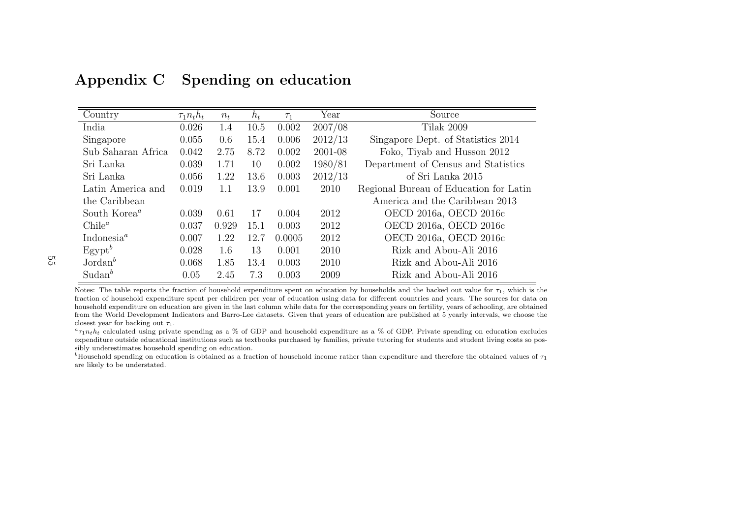| Country                             | $\tau_1 n_t h_t$ | $n_{t}$ | $h_t$ | $\tau_1$ | Year    | Source                                 |
|-------------------------------------|------------------|---------|-------|----------|---------|----------------------------------------|
| India                               | 0.026            | 1.4     | 10.5  | 0.002    | 2007/08 | Tilak 2009                             |
| Singapore                           | 0.055            | 0.6     | 15.4  | 0.006    | 2012/13 | Singapore Dept. of Statistics 2014     |
| Sub Saharan Africa                  | 0.042            | 2.75    | 8.72  | 0.002    | 2001-08 | Foko, Tiyab and Husson 2012            |
| Sri Lanka                           | 0.039            | 1.71    | 10    | 0.002    | 1980/81 | Department of Census and Statistics    |
| Sri Lanka                           | 0.056            | 1.22    | 13.6  | 0.003    | 2012/13 | of Sri Lanka 2015                      |
| Latin America and                   | 0.019            | 1.1     | 13.9  | 0.001    | 2010    | Regional Bureau of Education for Latin |
| the Caribbean                       |                  |         |       |          |         | America and the Caribbean 2013         |
| South Korea <sup>a</sup>            | 0.039            | 0.61    | 17    | 0.004    | 2012    | OECD 2016a, OECD 2016c                 |
| Chile <sup>a</sup>                  | 0.037            | 0.929   | 15.1  | 0.003    | 2012    | OECD 2016a, OECD 2016c                 |
| Indonesia <sup><math>a</math></sup> | 0.007            | 1.22    | 12.7  | 0.0005   | 2012    | OECD 2016a, OECD 2016c                 |
| $E$ gypt $^b$                       | 0.028            | 1.6     | 13    | 0.001    | 2010    | Rizk and Abou-Ali 2016                 |
| $Jordan^b$                          | 0.068            | 1.85    | 13.4  | 0.003    | 2010    | Rizk and Abou-Ali 2016                 |
| $Sudan^b$                           | 0.05             | 2.45    | 7.3   | 0.003    | 2009    | Rizk and Abou-Ali 2016                 |

# Appendix C Spending on education

Notes: The table reports the fraction of household expenditure spent on education by households and the backed out value for  $\tau_1$ , which is the fraction of household expenditure spent per children per year of education using data for different countries and years. The sources for data on household expenditure on education are given in the last column while data for the corresponding years on fertility, years of schooling, are obtained from the World Development Indicators and Barro-Lee datasets. Given that years of education are published at 5 yearly intervals, we choose theclosest year for backing out  $\tau_1$ .

 $a_{\tau_1 n_t h_t}$  calculated using private spending as a % of GDP and household expenditure as a % of GDP. Private spending on education excludes expenditure outside educational institutions such as textbooks purchased by families, private tutoring for students and student living costs so possibly underestimates household spending on education.

<span id="page-54-0"></span> $b$ Household spending on education is obtained as a fraction of household income rather than expenditure and therefore the obtained values of  $\tau_1$ are likely to be understated.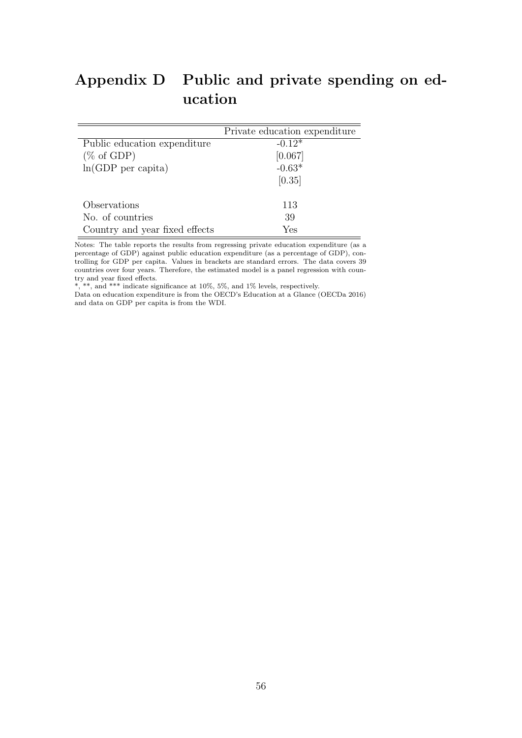# <span id="page-55-0"></span>Appendix D Public and private spending on education

|                                | Private education expenditure |
|--------------------------------|-------------------------------|
| Public education expenditure   | $-0.12*$                      |
| $(\% \text{ of GDP})$          | [0.067]                       |
| $ln(GDP$ per capita)           | $-0.63*$                      |
|                                | [0.35]                        |
|                                |                               |
| Observations                   | 113                           |
| No. of countries               | 39                            |
| Country and year fixed effects | Yes                           |

Notes: The table reports the results from regressing private education expenditure (as a percentage of GDP) against public education expenditure (as a percentage of GDP), controlling for GDP per capita. Values in brackets are standard errors. The data covers 39 countries over four years. Therefore, the estimated model is a panel regression with country and year fixed effects.

\*, \*\*, and \*\*\* indicate significance at 10%, 5%, and 1% levels, respectively.

Data on education expenditure is from the OECD's Education at a Glance (OECDa 2016) and data on GDP per capita is from the WDI.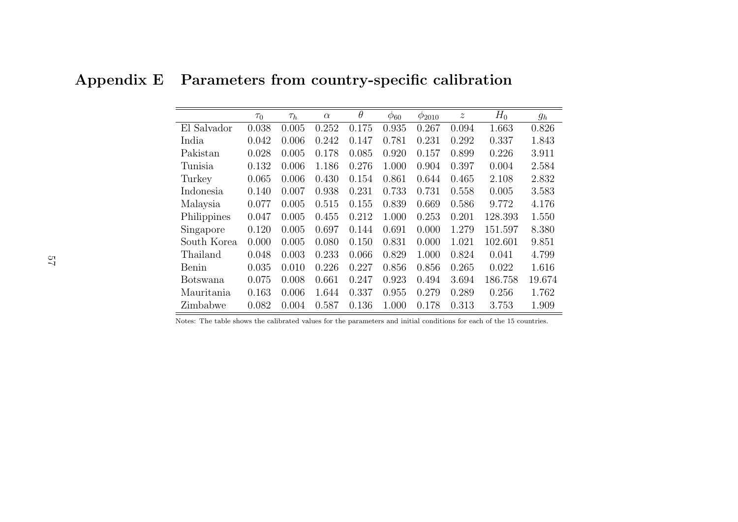Appendix E Parameters from country-specific calibration

|                 | $\tau_0$ | $\tau_h$ | $\alpha$ | $\theta$ | $\varphi_{60}$ | $\phi_{2010}$ | $\boldsymbol{z}$ | $H_0$   | $g_h$  |
|-----------------|----------|----------|----------|----------|----------------|---------------|------------------|---------|--------|
| El Salvador     | 0.038    | 0.005    | 0.252    | 0.175    | 0.935          | 0.267         | 0.094            | 1.663   | 0.826  |
| India           | 0.042    | 0.006    | 0.242    | 0.147    | 0.781          | 0.231         | 0.292            | 0.337   | 1.843  |
| Pakistan        | 0.028    | 0.005    | 0.178    | 0.085    | 0.920          | 0.157         | 0.899            | 0.226   | 3.911  |
| Tunisia         | 0.132    | 0.006    | 1.186    | 0.276    | 1.000          | 0.904         | 0.397            | 0.004   | 2.584  |
| Turkey          | 0.065    | 0.006    | 0.430    | 0.154    | 0.861          | 0.644         | 0.465            | 2.108   | 2.832  |
| Indonesia       | 0.140    | 0.007    | 0.938    | 0.231    | 0.733          | 0.731         | 0.558            | 0.005   | 3.583  |
| Malaysia        | 0.077    | 0.005    | 0.515    | 0.155    | 0.839          | 0.669         | 0.586            | 9.772   | 4.176  |
| Philippines     | 0.047    | 0.005    | 0.455    | 0.212    | 1.000          | 0.253         | 0.201            | 128.393 | 1.550  |
| Singapore       | 0.120    | 0.005    | 0.697    | 0.144    | 0.691          | 0.000         | 1.279            | 151.597 | 8.380  |
| South Korea     | 0.000    | 0.005    | 0.080    | 0.150    | 0.831          | 0.000         | 1.021            | 102.601 | 9.851  |
| Thailand        | 0.048    | 0.003    | 0.233    | 0.066    | 0.829          | 1.000         | 0.824            | 0.041   | 4.799  |
| Benin           | 0.035    | 0.010    | 0.226    | 0.227    | 0.856          | 0.856         | 0.265            | 0.022   | 1.616  |
| <b>Botswana</b> | 0.075    | 0.008    | 0.661    | 0.247    | 0.923          | 0.494         | 3.694            | 186.758 | 19.674 |
| Mauritania      | 0.163    | 0.006    | 1.644    | 0.337    | 0.955          | 0.279         | 0.289            | 0.256   | 1.762  |
| Zimbabwe        | 0.082    | 0.004    | 0.587    | 0.136    | 1.000          | 0.178         | 0.313            | 3.753   | 1.909  |

<span id="page-56-0"></span>Notes: The table shows the calibrated values for the parameters and initial conditions for each of the 15 countries.